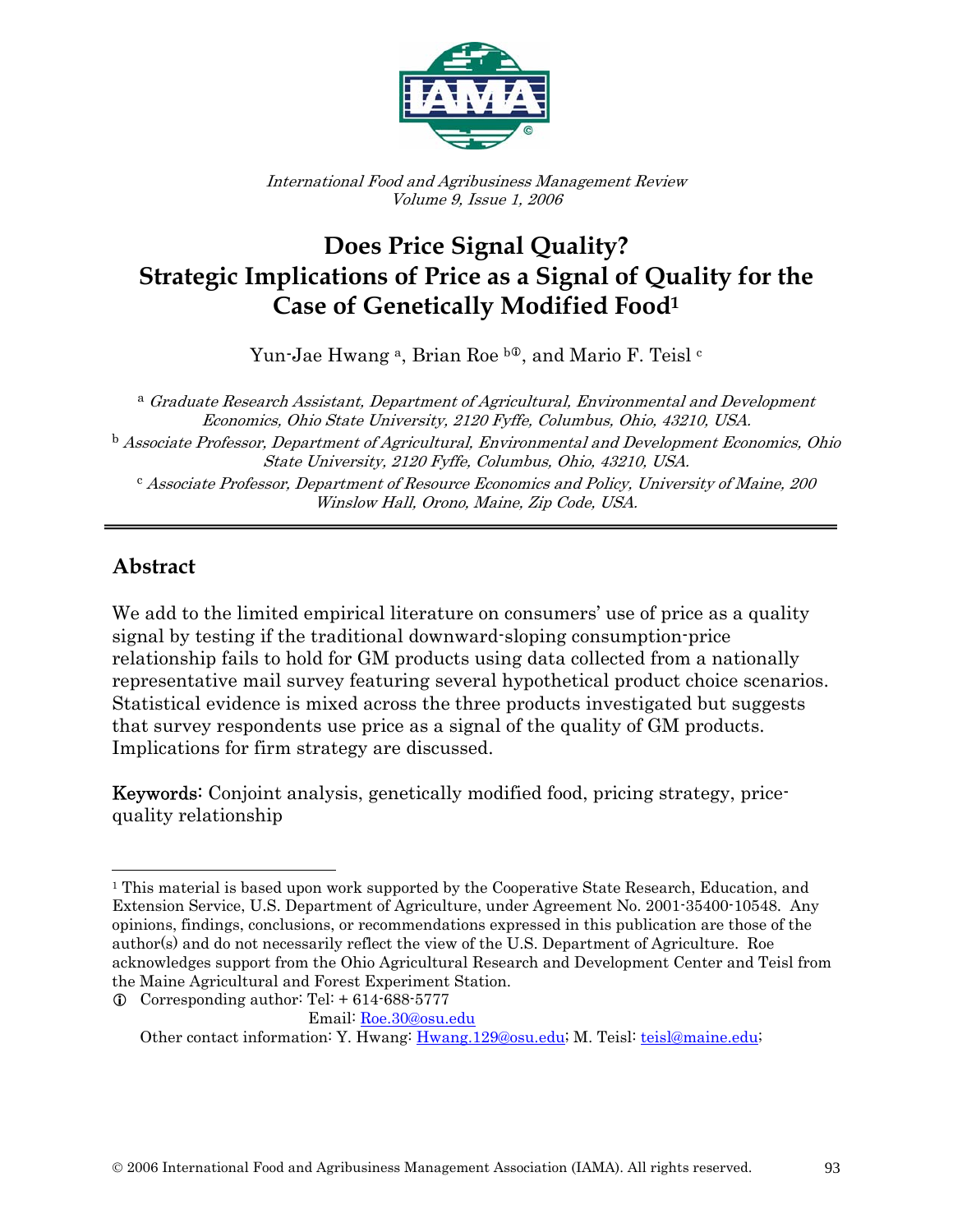

International Food and Agribusiness Management Review Volume 9, Issue 1, 2006

# **Does Price Signal Quality? Strategic Implications of Price as a Signal of Quality for the Case of Genetically Modified Food1**

Yun-Jae Hwang<sup>a</sup>, Brian Roe <sup>b<sub>®</sub>, and Mario F. Teisl<sup>c</sup></sup>

<sup>a</sup> Graduate Research Assistant, Department of Agricultural, Environmental and Development Economics, Ohio State University, 2120 Fyffe, Columbus, Ohio, 43210, USA. <sup>b</sup> Associate Professor, Department of Agricultural, Environmental and Development Economics, Ohio State University, 2120 Fyffe, Columbus, Ohio, 43210, USA. <sup>c</sup> Associate Professor, Department of Resource Economics and Policy, University of Maine, 200 Winslow Hall, Orono, Maine, Zip Code, USA.

#### **Abstract**

 $\overline{a}$ 

We add to the limited empirical literature on consumers' use of price as a quality signal by testing if the traditional downward-sloping consumption-price relationship fails to hold for GM products using data collected from a nationally representative mail survey featuring several hypothetical product choice scenarios. Statistical evidence is mixed across the three products investigated but suggests that survey respondents use price as a signal of the quality of GM products. Implications for firm strategy are discussed.

Keywords: Conjoint analysis, genetically modified food, pricing strategy, pricequality relationship

<sup>&</sup>lt;sup>1</sup> This material is based upon work supported by the Cooperative State Research, Education, and Extension Service, U.S. Department of Agriculture, under Agreement No. 2001-35400-10548. Any opinions, findings, conclusions, or recommendations expressed in this publication are those of the author(s) and do not necessarily reflect the view of the U.S. Department of Agriculture. Roe acknowledges support from the Ohio Agricultural Research and Development Center and Teisl from the Maine Agricultural and Forest Experiment Station.

 $Q$  Corresponding author: Tel: + 614-688-5777 Email: Roe.30@osu.edu

Other contact information: Y. Hwang: Hwang.129@osu.edu; M. Teisl: teisl@maine.edu;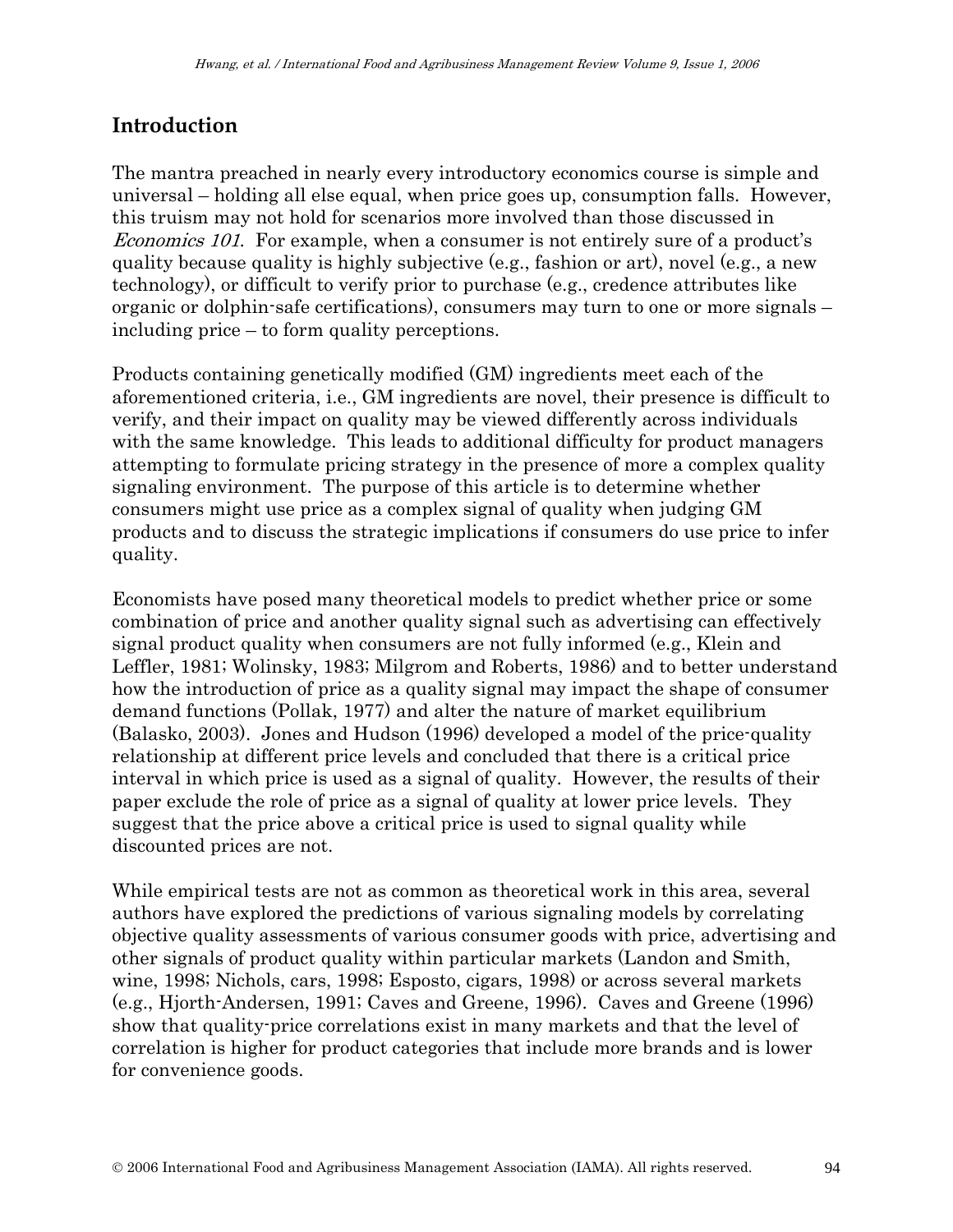# **Introduction**

The mantra preached in nearly every introductory economics course is simple and universal – holding all else equal, when price goes up, consumption falls. However, this truism may not hold for scenarios more involved than those discussed in Economics 101. For example, when a consumer is not entirely sure of a product's quality because quality is highly subjective (e.g., fashion or art), novel (e.g., a new technology), or difficult to verify prior to purchase (e.g., credence attributes like organic or dolphin-safe certifications), consumers may turn to one or more signals – including price – to form quality perceptions.

Products containing genetically modified (GM) ingredients meet each of the aforementioned criteria, i.e., GM ingredients are novel, their presence is difficult to verify, and their impact on quality may be viewed differently across individuals with the same knowledge. This leads to additional difficulty for product managers attempting to formulate pricing strategy in the presence of more a complex quality signaling environment. The purpose of this article is to determine whether consumers might use price as a complex signal of quality when judging GM products and to discuss the strategic implications if consumers do use price to infer quality.

Economists have posed many theoretical models to predict whether price or some combination of price and another quality signal such as advertising can effectively signal product quality when consumers are not fully informed (e.g., Klein and Leffler, 1981; Wolinsky, 1983; Milgrom and Roberts, 1986) and to better understand how the introduction of price as a quality signal may impact the shape of consumer demand functions (Pollak, 1977) and alter the nature of market equilibrium (Balasko, 2003). Jones and Hudson (1996) developed a model of the price-quality relationship at different price levels and concluded that there is a critical price interval in which price is used as a signal of quality. However, the results of their paper exclude the role of price as a signal of quality at lower price levels. They suggest that the price above a critical price is used to signal quality while discounted prices are not.

While empirical tests are not as common as theoretical work in this area, several authors have explored the predictions of various signaling models by correlating objective quality assessments of various consumer goods with price, advertising and other signals of product quality within particular markets (Landon and Smith, wine, 1998; Nichols, cars, 1998; Esposto, cigars, 1998) or across several markets (e.g., Hjorth-Andersen, 1991; Caves and Greene, 1996). Caves and Greene (1996) show that quality-price correlations exist in many markets and that the level of correlation is higher for product categories that include more brands and is lower for convenience goods.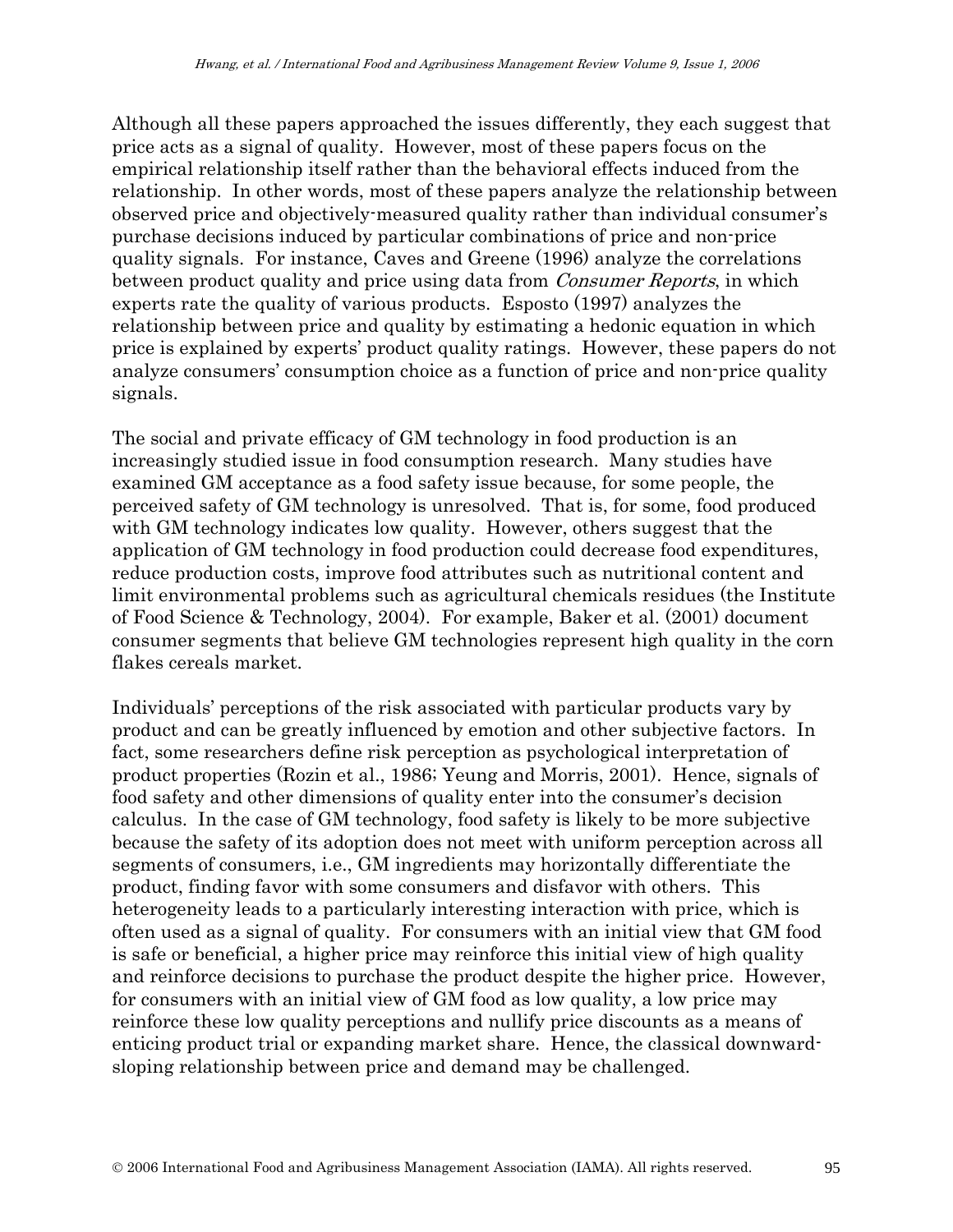Although all these papers approached the issues differently, they each suggest that price acts as a signal of quality. However, most of these papers focus on the empirical relationship itself rather than the behavioral effects induced from the relationship. In other words, most of these papers analyze the relationship between observed price and objectively-measured quality rather than individual consumer's purchase decisions induced by particular combinations of price and non-price quality signals. For instance, Caves and Greene (1996) analyze the correlations between product quality and price using data from *Consumer Reports*, in which experts rate the quality of various products. Esposto (1997) analyzes the relationship between price and quality by estimating a hedonic equation in which price is explained by experts' product quality ratings. However, these papers do not analyze consumers' consumption choice as a function of price and non-price quality signals.

The social and private efficacy of GM technology in food production is an increasingly studied issue in food consumption research. Many studies have examined GM acceptance as a food safety issue because, for some people, the perceived safety of GM technology is unresolved. That is, for some, food produced with GM technology indicates low quality. However, others suggest that the application of GM technology in food production could decrease food expenditures, reduce production costs, improve food attributes such as nutritional content and limit environmental problems such as agricultural chemicals residues (the Institute of Food Science & Technology, 2004). For example, Baker et al. (2001) document consumer segments that believe GM technologies represent high quality in the corn flakes cereals market.

Individuals' perceptions of the risk associated with particular products vary by product and can be greatly influenced by emotion and other subjective factors. In fact, some researchers define risk perception as psychological interpretation of product properties (Rozin et al., 1986; Yeung and Morris, 2001). Hence, signals of food safety and other dimensions of quality enter into the consumer's decision calculus. In the case of GM technology, food safety is likely to be more subjective because the safety of its adoption does not meet with uniform perception across all segments of consumers, i.e., GM ingredients may horizontally differentiate the product, finding favor with some consumers and disfavor with others. This heterogeneity leads to a particularly interesting interaction with price, which is often used as a signal of quality. For consumers with an initial view that GM food is safe or beneficial, a higher price may reinforce this initial view of high quality and reinforce decisions to purchase the product despite the higher price. However, for consumers with an initial view of GM food as low quality, a low price may reinforce these low quality perceptions and nullify price discounts as a means of enticing product trial or expanding market share. Hence, the classical downwardsloping relationship between price and demand may be challenged.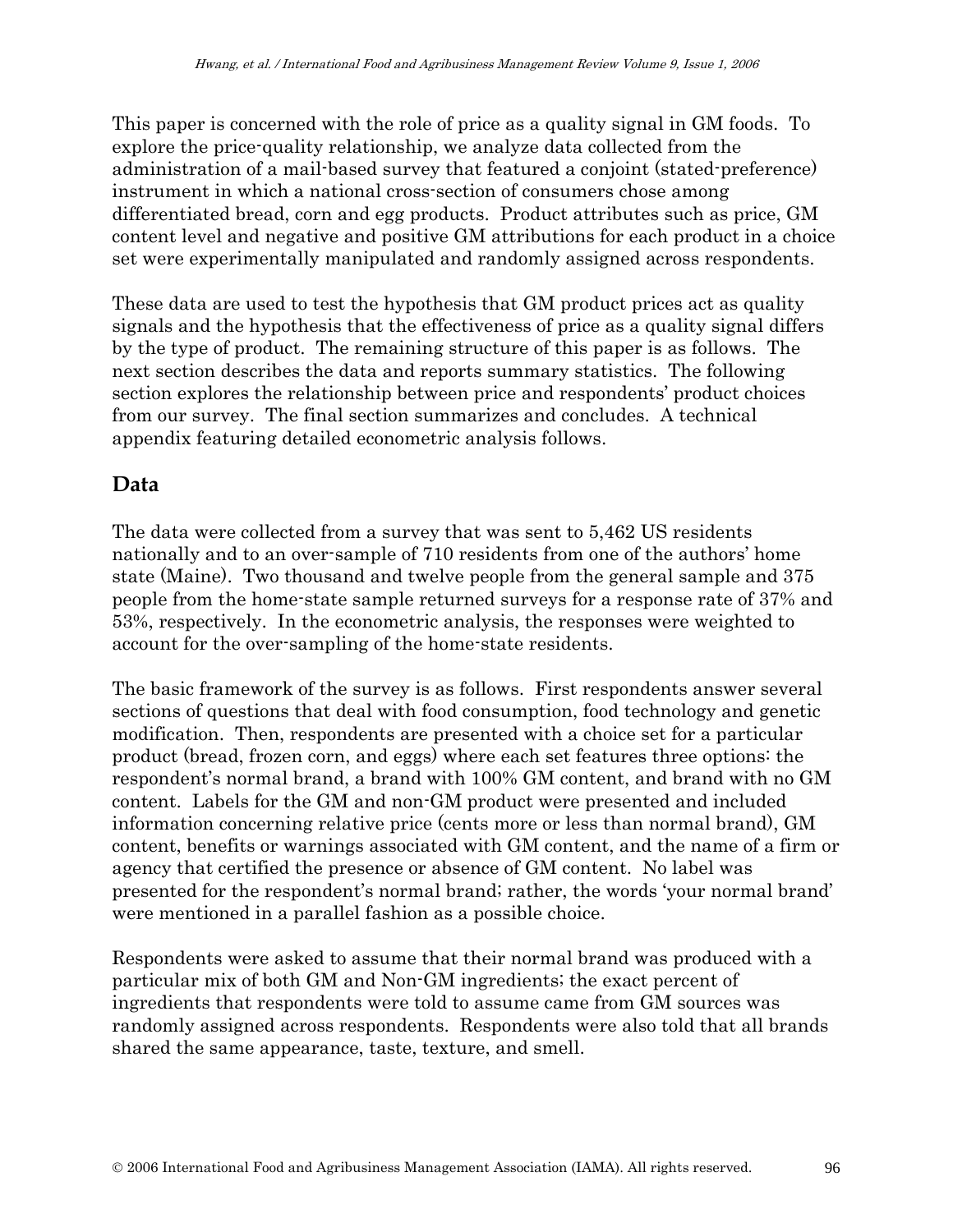This paper is concerned with the role of price as a quality signal in GM foods. To explore the price-quality relationship, we analyze data collected from the administration of a mail-based survey that featured a conjoint (stated-preference) instrument in which a national cross-section of consumers chose among differentiated bread, corn and egg products. Product attributes such as price, GM content level and negative and positive GM attributions for each product in a choice set were experimentally manipulated and randomly assigned across respondents.

These data are used to test the hypothesis that GM product prices act as quality signals and the hypothesis that the effectiveness of price as a quality signal differs by the type of product. The remaining structure of this paper is as follows. The next section describes the data and reports summary statistics. The following section explores the relationship between price and respondents' product choices from our survey. The final section summarizes and concludes. A technical appendix featuring detailed econometric analysis follows.

#### **Data**

The data were collected from a survey that was sent to 5,462 US residents nationally and to an over-sample of 710 residents from one of the authors' home state (Maine). Two thousand and twelve people from the general sample and 375 people from the home-state sample returned surveys for a response rate of 37% and 53%, respectively. In the econometric analysis, the responses were weighted to account for the over-sampling of the home-state residents.

The basic framework of the survey is as follows. First respondents answer several sections of questions that deal with food consumption, food technology and genetic modification. Then, respondents are presented with a choice set for a particular product (bread, frozen corn, and eggs) where each set features three options: the respondent's normal brand, a brand with 100% GM content, and brand with no GM content. Labels for the GM and non-GM product were presented and included information concerning relative price (cents more or less than normal brand), GM content, benefits or warnings associated with GM content, and the name of a firm or agency that certified the presence or absence of GM content. No label was presented for the respondent's normal brand; rather, the words 'your normal brand' were mentioned in a parallel fashion as a possible choice.

Respondents were asked to assume that their normal brand was produced with a particular mix of both GM and Non-GM ingredients; the exact percent of ingredients that respondents were told to assume came from GM sources was randomly assigned across respondents. Respondents were also told that all brands shared the same appearance, taste, texture, and smell.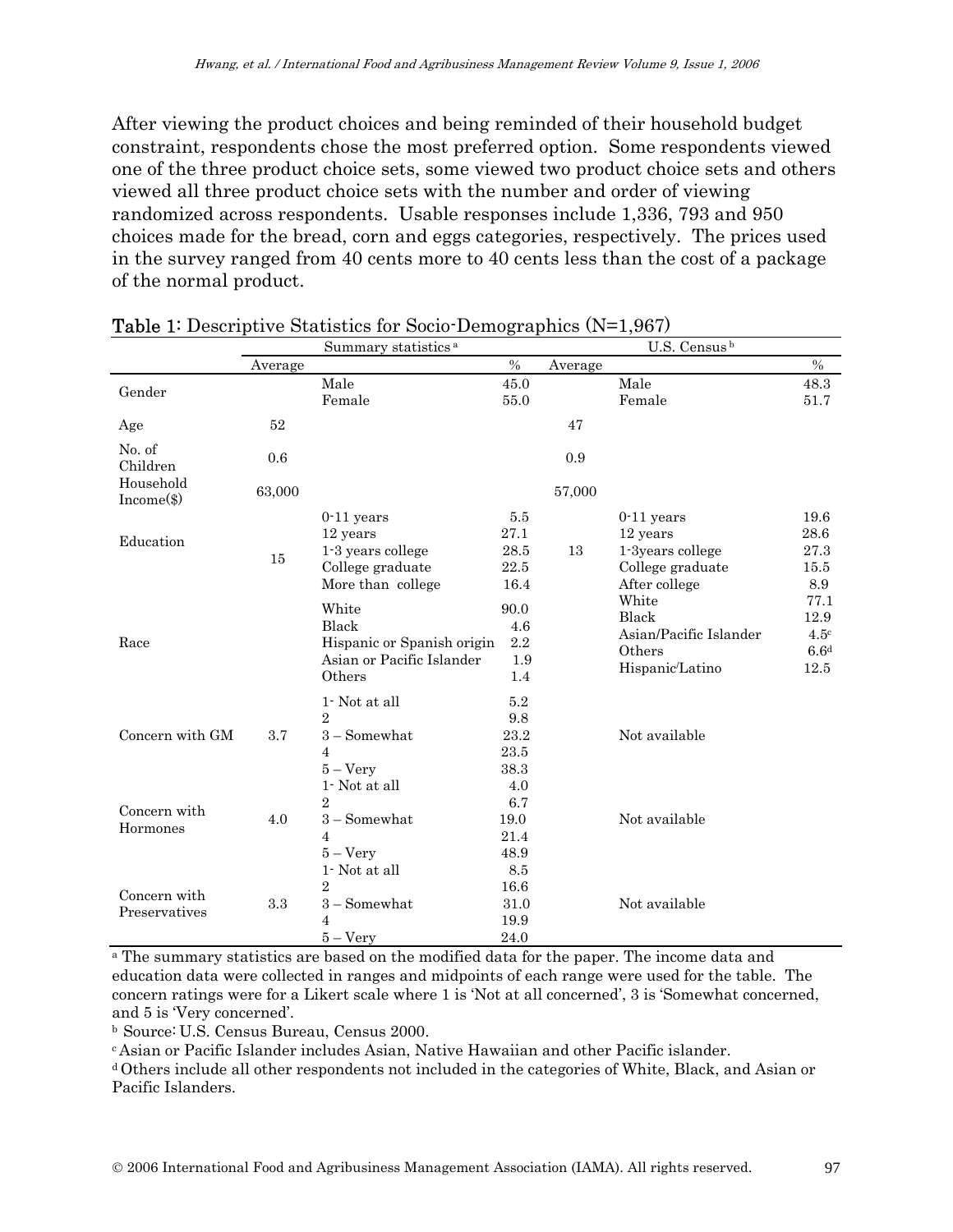After viewing the product choices and being reminded of their household budget constraint, respondents chose the most preferred option. Some respondents viewed one of the three product choice sets, some viewed two product choice sets and others viewed all three product choice sets with the number and order of viewing randomized across respondents. Usable responses include 1,336, 793 and 950 choices made for the bread, corn and eggs categories, respectively. The prices used in the survey ranged from 40 cents more to 40 cents less than the cost of a package of the normal product.

|                               | Summary statistics <sup>a</sup> |                            |         | U.S. Census b |                        |                  |
|-------------------------------|---------------------------------|----------------------------|---------|---------------|------------------------|------------------|
|                               | Average                         |                            | $\%$    | Average       |                        | $\%$             |
| Gender                        |                                 | Male                       | 45.0    |               | Male                   | 48.3             |
|                               |                                 | Female                     | 55.0    |               | Female                 | 51.7             |
| Age                           | 52                              |                            |         | 47            |                        |                  |
| No. of<br>Children            | 0.6                             |                            |         | 0.9           |                        |                  |
| Household<br>Income(\$)       | 63,000                          |                            |         | 57,000        |                        |                  |
|                               |                                 | $0-11$ years               | 5.5     |               | $0-11$ years           | 19.6             |
| Education                     |                                 | 12 years                   | 27.1    |               | 12 years               | 28.6             |
|                               | 15                              | 1-3 years college          | 28.5    | 13            | 1-3years college       | 27.3             |
|                               |                                 | College graduate           | 22.5    |               | College graduate       | 15.5             |
|                               |                                 | More than college          | 16.4    |               | After college          | 8.9              |
|                               |                                 | White                      | 90.0    |               | White                  | 77.1             |
|                               |                                 | Black                      | 4.6     |               | Black                  | 12.9             |
| Race                          |                                 | Hispanic or Spanish origin | 2.2     |               | Asian/Pacific Islander | 4.5 <sup>c</sup> |
|                               |                                 | Asian or Pacific Islander  | 1.9     |               | Others                 | 6.6 <sup>d</sup> |
|                               |                                 | Others                     | 1.4     |               | Hispanic/Latino        | 12.5             |
|                               |                                 | 1- Not at all              | $5.2\,$ |               |                        |                  |
|                               |                                 | $\overline{2}$             | 9.8     |               |                        |                  |
| Concern with GM               | 3.7                             | $3 -$ Somewhat             | 23.2    |               | Not available          |                  |
|                               |                                 | $\overline{4}$             | 23.5    |               |                        |                  |
|                               |                                 | $5 - Very$                 | 38.3    |               |                        |                  |
|                               |                                 | 1- Not at all              | 4.0     |               |                        |                  |
|                               |                                 | $\overline{2}$             | 6.7     |               |                        |                  |
| Concern with<br>Hormones      | 4.0                             | $3 -$ Somewhat             | 19.0    |               | Not available          |                  |
|                               |                                 | 4                          | 21.4    |               |                        |                  |
|                               |                                 | $5 - \mathrm{Very}$        | 48.9    |               |                        |                  |
|                               |                                 | $1$ Not at all $\,$        | 8.5     |               |                        |                  |
|                               |                                 | $\overline{2}$             | 16.6    |               |                        |                  |
| Concern with<br>Preservatives | 3.3                             | $3 -$ Somewhat             | 31.0    |               | Not available          |                  |
|                               |                                 | 4                          | 19.9    |               |                        |                  |
|                               |                                 | $5 - \mathrm{Very}$        | 24.0    |               |                        |                  |

#### Table 1: Descriptive Statistics for Socio-Demographics (N=1,967)

<sup>a</sup> The summary statistics are based on the modified data for the paper. The income data and education data were collected in ranges and midpoints of each range were used for the table. The concern ratings were for a Likert scale where 1 is 'Not at all concerned', 3 is 'Somewhat concerned, and 5 is 'Very concerned'.

b Source: U.S. Census Bureau, Census 2000.<br>
c Asian or Pacific Islander includes Asian, Native Hawaiian and other Pacific islander.

d Others include all other respondents not included in the categories of White, Black, and Asian or Pacific Islanders.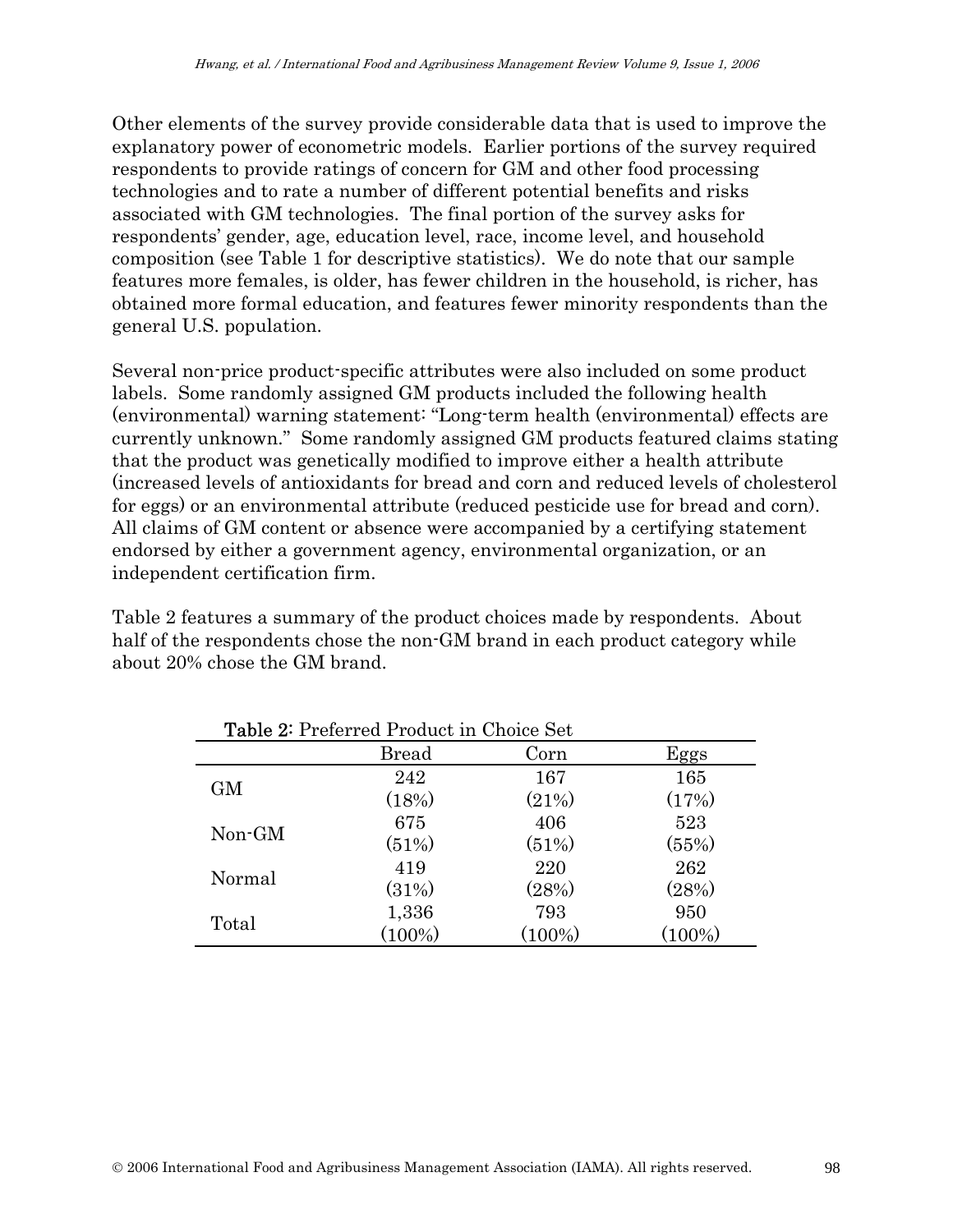Other elements of the survey provide considerable data that is used to improve the explanatory power of econometric models. Earlier portions of the survey required respondents to provide ratings of concern for GM and other food processing technologies and to rate a number of different potential benefits and risks associated with GM technologies. The final portion of the survey asks for respondents' gender, age, education level, race, income level, and household composition (see Table 1 for descriptive statistics). We do note that our sample features more females, is older, has fewer children in the household, is richer, has obtained more formal education, and features fewer minority respondents than the general U.S. population.

Several non-price product-specific attributes were also included on some product labels. Some randomly assigned GM products included the following health (environmental) warning statement: "Long-term health (environmental) effects are currently unknown." Some randomly assigned GM products featured claims stating that the product was genetically modified to improve either a health attribute (increased levels of antioxidants for bread and corn and reduced levels of cholesterol for eggs) or an environmental attribute (reduced pesticide use for bread and corn). All claims of GM content or absence were accompanied by a certifying statement endorsed by either a government agency, environmental organization, or an independent certification firm.

Table 2 features a summary of the product choices made by respondents. About half of the respondents chose the non-GM brand in each product category while about 20% chose the GM brand.

| <b>Table 2: Preferred Product in Choice Set</b> |              |           |           |  |  |
|-------------------------------------------------|--------------|-----------|-----------|--|--|
|                                                 | <b>Bread</b> | Corn      | Eggs      |  |  |
| <b>GM</b>                                       | 242          | 167       | 165       |  |  |
|                                                 | (18%)        | (21%)     | (17%)     |  |  |
| Non-GM                                          | 675          | 406       | 523       |  |  |
|                                                 | (51%)        | (51%)     | (55%)     |  |  |
| Normal                                          | 419          | 220       | 262       |  |  |
|                                                 | (31%)        | (28%)     | (28%)     |  |  |
| Total                                           | 1,336        | 793       | 950       |  |  |
|                                                 | $(100\%)$    | $(100\%)$ | $(100\%)$ |  |  |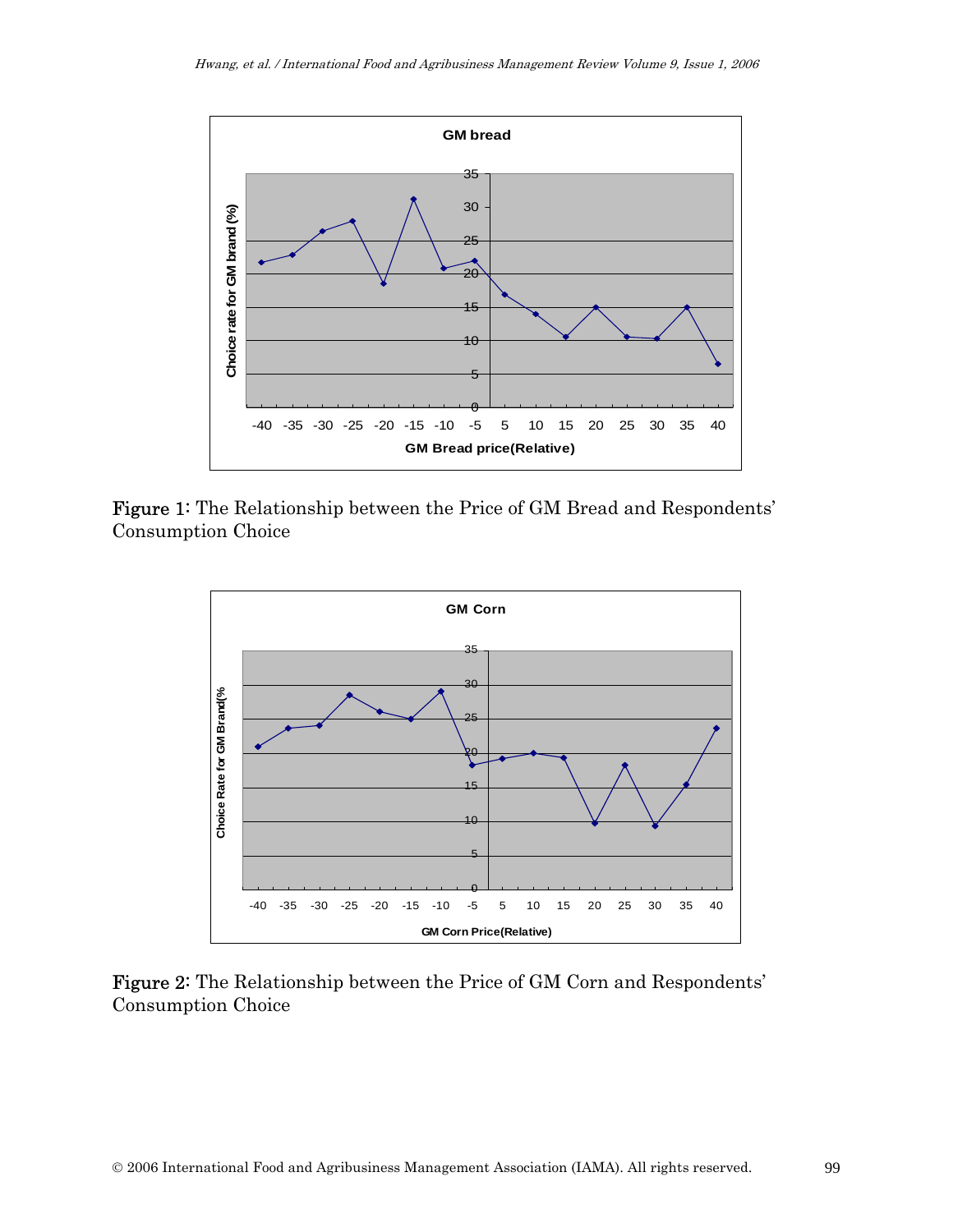

Figure 1: The Relationship between the Price of GM Bread and Respondents' Consumption Choice



Figure 2: The Relationship between the Price of GM Corn and Respondents' Consumption Choice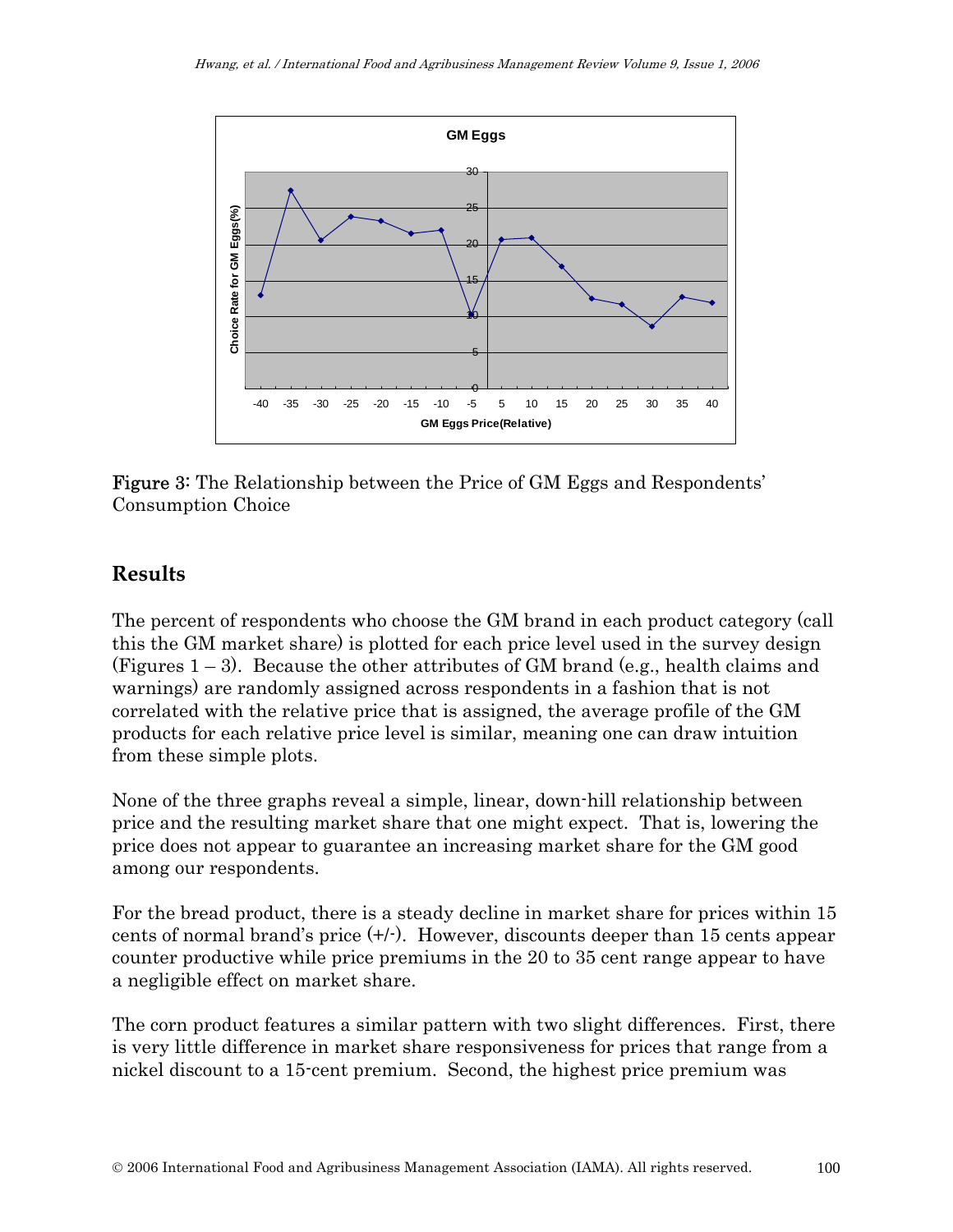

Figure 3: The Relationship between the Price of GM Eggs and Respondents' Consumption Choice

### **Results**

The percent of respondents who choose the GM brand in each product category (call this the GM market share) is plotted for each price level used in the survey design (Figures 1 – 3). Because the other attributes of GM brand (e.g., health claims and warnings) are randomly assigned across respondents in a fashion that is not correlated with the relative price that is assigned, the average profile of the GM products for each relative price level is similar, meaning one can draw intuition from these simple plots.

None of the three graphs reveal a simple, linear, down-hill relationship between price and the resulting market share that one might expect. That is, lowering the price does not appear to guarantee an increasing market share for the GM good among our respondents.

For the bread product, there is a steady decline in market share for prices within 15 cents of normal brand's price  $(+/-)$ . However, discounts deeper than 15 cents appear counter productive while price premiums in the 20 to 35 cent range appear to have a negligible effect on market share.

The corn product features a similar pattern with two slight differences. First, there is very little difference in market share responsiveness for prices that range from a nickel discount to a 15-cent premium. Second, the highest price premium was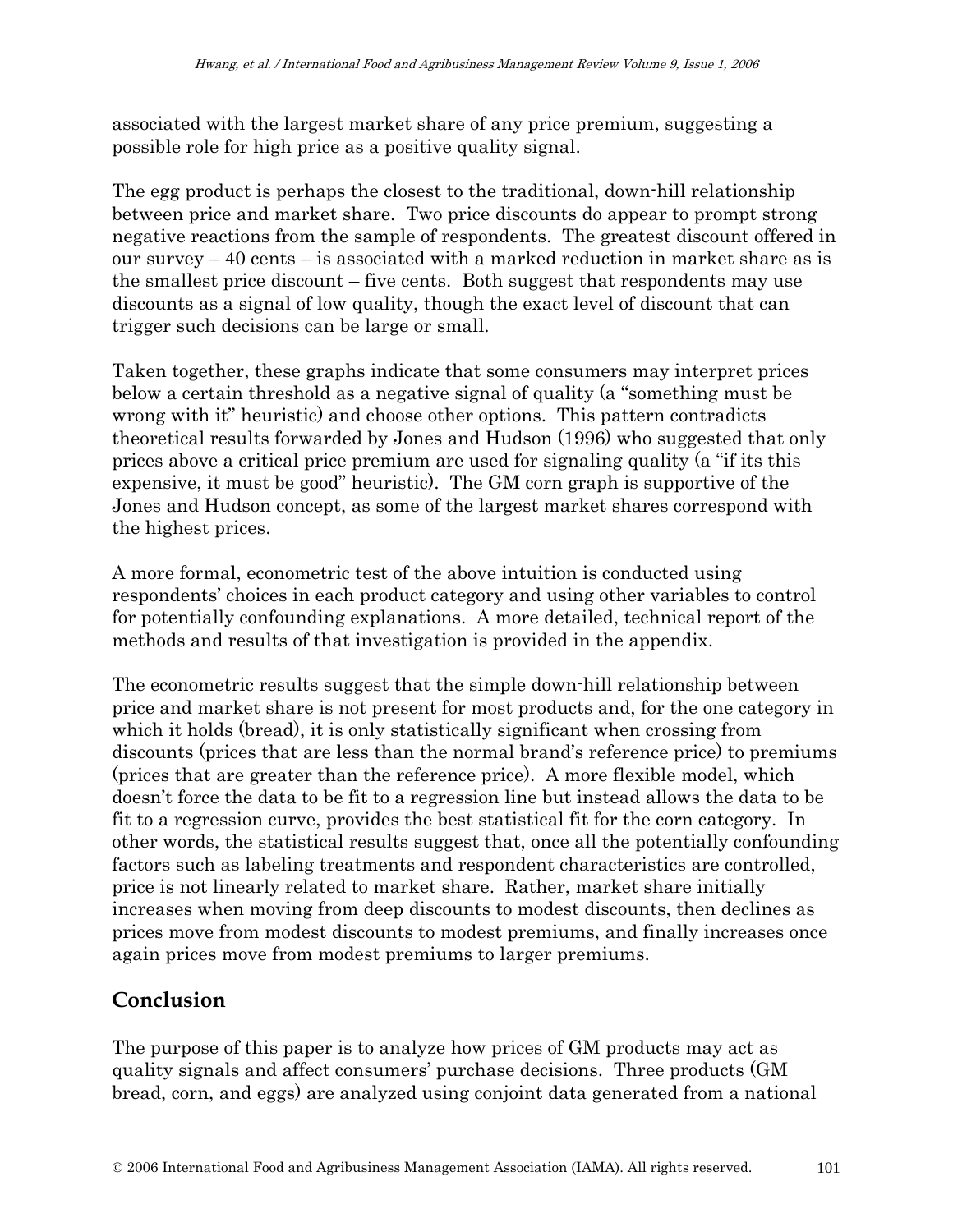associated with the largest market share of any price premium, suggesting a possible role for high price as a positive quality signal.

The egg product is perhaps the closest to the traditional, down-hill relationship between price and market share. Two price discounts do appear to prompt strong negative reactions from the sample of respondents. The greatest discount offered in our survey  $-40$  cents  $-$  is associated with a marked reduction in market share as is the smallest price discount – five cents. Both suggest that respondents may use discounts as a signal of low quality, though the exact level of discount that can trigger such decisions can be large or small.

Taken together, these graphs indicate that some consumers may interpret prices below a certain threshold as a negative signal of quality (a "something must be wrong with it" heuristic) and choose other options. This pattern contradicts theoretical results forwarded by Jones and Hudson (1996) who suggested that only prices above a critical price premium are used for signaling quality (a "if its this expensive, it must be good" heuristic). The GM corn graph is supportive of the Jones and Hudson concept, as some of the largest market shares correspond with the highest prices.

A more formal, econometric test of the above intuition is conducted using respondents' choices in each product category and using other variables to control for potentially confounding explanations. A more detailed, technical report of the methods and results of that investigation is provided in the appendix.

The econometric results suggest that the simple down-hill relationship between price and market share is not present for most products and, for the one category in which it holds (bread), it is only statistically significant when crossing from discounts (prices that are less than the normal brand's reference price) to premiums (prices that are greater than the reference price). A more flexible model, which doesn't force the data to be fit to a regression line but instead allows the data to be fit to a regression curve, provides the best statistical fit for the corn category. In other words, the statistical results suggest that, once all the potentially confounding factors such as labeling treatments and respondent characteristics are controlled, price is not linearly related to market share. Rather, market share initially increases when moving from deep discounts to modest discounts, then declines as prices move from modest discounts to modest premiums, and finally increases once again prices move from modest premiums to larger premiums.

# **Conclusion**

The purpose of this paper is to analyze how prices of GM products may act as quality signals and affect consumers' purchase decisions. Three products (GM bread, corn, and eggs) are analyzed using conjoint data generated from a national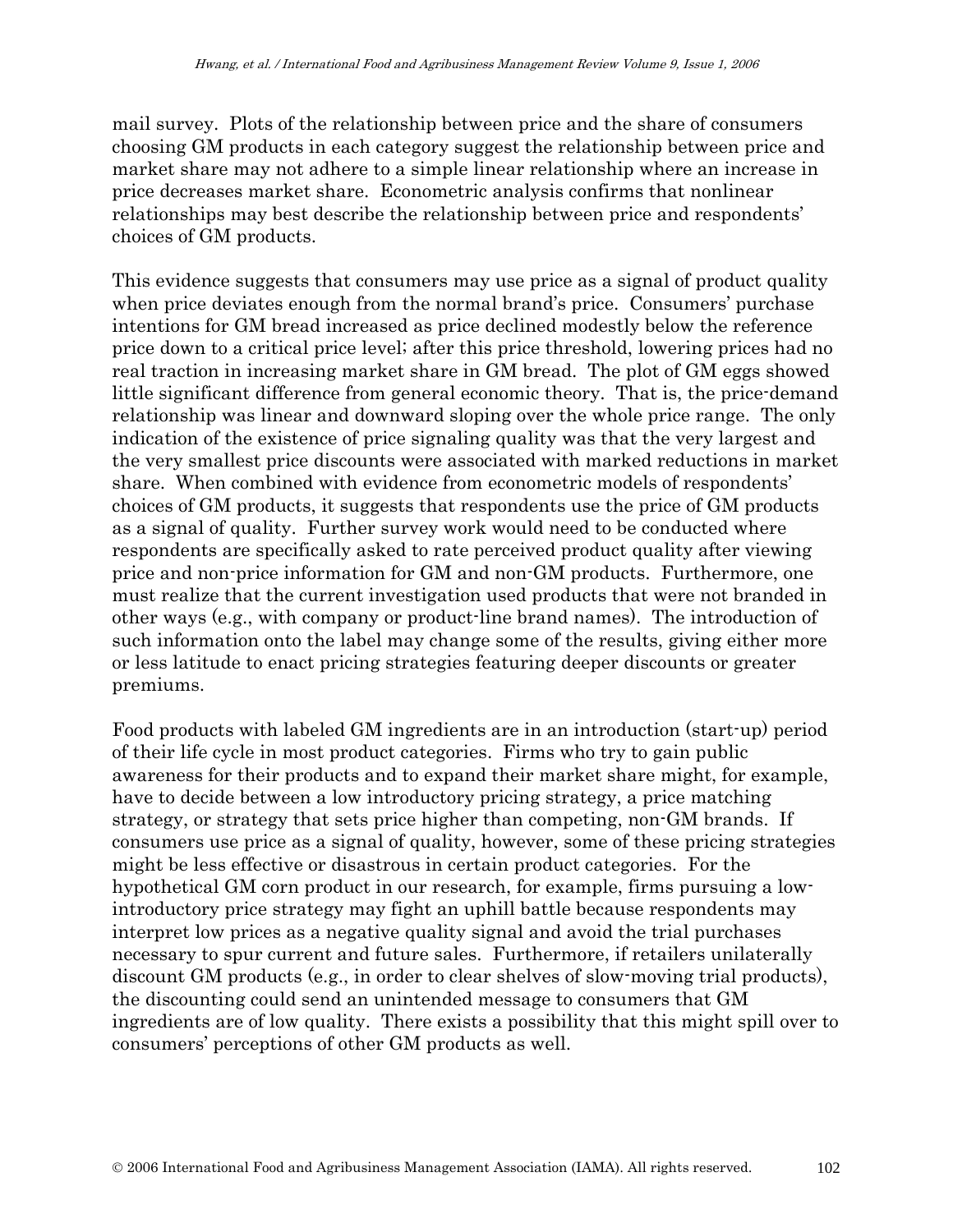mail survey. Plots of the relationship between price and the share of consumers choosing GM products in each category suggest the relationship between price and market share may not adhere to a simple linear relationship where an increase in price decreases market share. Econometric analysis confirms that nonlinear relationships may best describe the relationship between price and respondents' choices of GM products.

This evidence suggests that consumers may use price as a signal of product quality when price deviates enough from the normal brand's price. Consumers' purchase intentions for GM bread increased as price declined modestly below the reference price down to a critical price level; after this price threshold, lowering prices had no real traction in increasing market share in GM bread. The plot of GM eggs showed little significant difference from general economic theory. That is, the price-demand relationship was linear and downward sloping over the whole price range. The only indication of the existence of price signaling quality was that the very largest and the very smallest price discounts were associated with marked reductions in market share. When combined with evidence from econometric models of respondents' choices of GM products, it suggests that respondents use the price of GM products as a signal of quality. Further survey work would need to be conducted where respondents are specifically asked to rate perceived product quality after viewing price and non-price information for GM and non-GM products. Furthermore, one must realize that the current investigation used products that were not branded in other ways (e.g., with company or product-line brand names). The introduction of such information onto the label may change some of the results, giving either more or less latitude to enact pricing strategies featuring deeper discounts or greater premiums.

Food products with labeled GM ingredients are in an introduction (start-up) period of their life cycle in most product categories. Firms who try to gain public awareness for their products and to expand their market share might, for example, have to decide between a low introductory pricing strategy, a price matching strategy, or strategy that sets price higher than competing, non-GM brands. If consumers use price as a signal of quality, however, some of these pricing strategies might be less effective or disastrous in certain product categories. For the hypothetical GM corn product in our research, for example, firms pursuing a lowintroductory price strategy may fight an uphill battle because respondents may interpret low prices as a negative quality signal and avoid the trial purchases necessary to spur current and future sales. Furthermore, if retailers unilaterally discount GM products (e.g., in order to clear shelves of slow-moving trial products), the discounting could send an unintended message to consumers that GM ingredients are of low quality. There exists a possibility that this might spill over to consumers' perceptions of other GM products as well.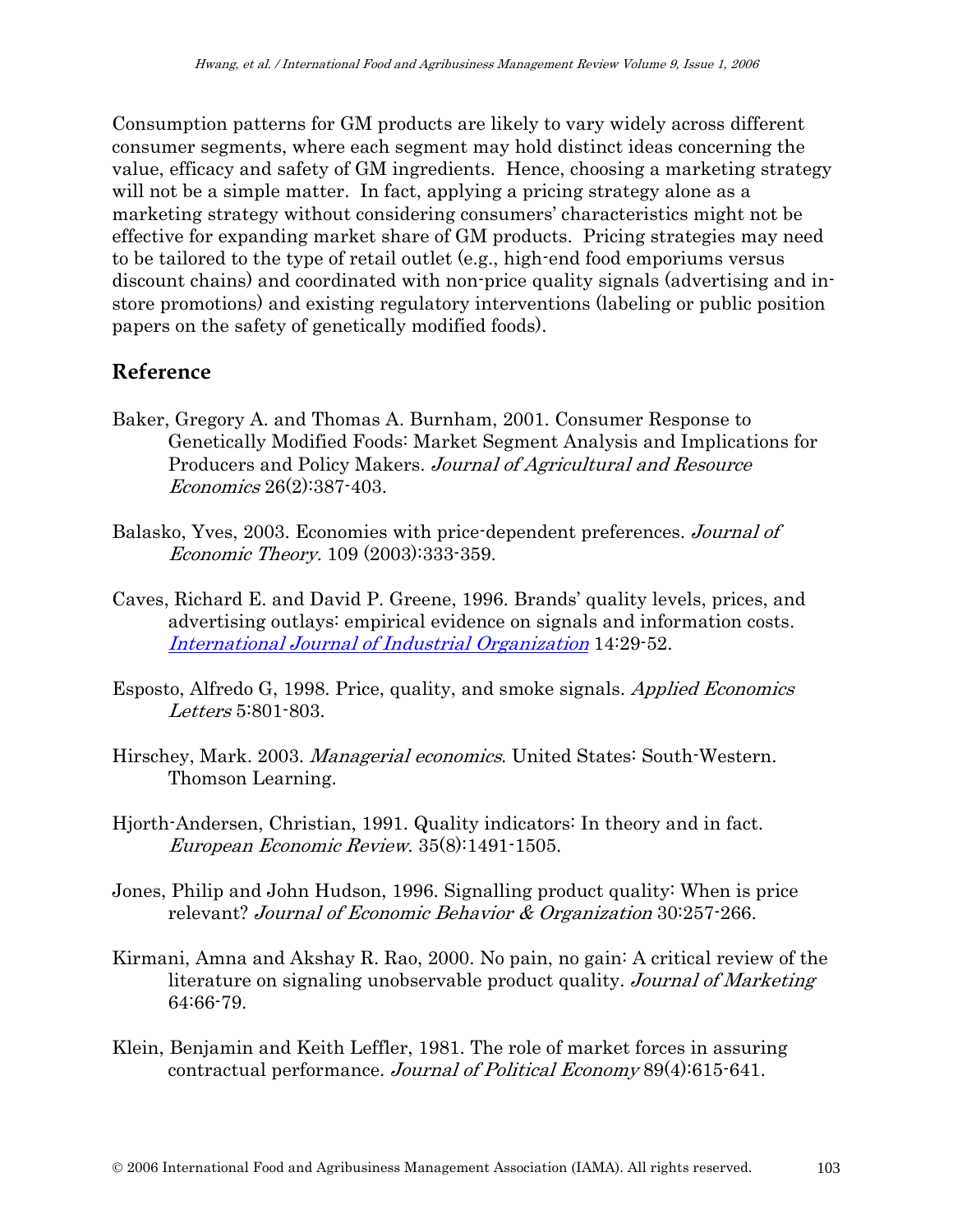Consumption patterns for GM products are likely to vary widely across different consumer segments, where each segment may hold distinct ideas concerning the value, efficacy and safety of GM ingredients. Hence, choosing a marketing strategy will not be a simple matter. In fact, applying a pricing strategy alone as a marketing strategy without considering consumers' characteristics might not be effective for expanding market share of GM products. Pricing strategies may need to be tailored to the type of retail outlet (e.g., high-end food emporiums versus discount chains) and coordinated with non-price quality signals (advertising and instore promotions) and existing regulatory interventions (labeling or public position papers on the safety of genetically modified foods).

#### **Reference**

- Baker, Gregory A. and Thomas A. Burnham, 2001. Consumer Response to Genetically Modified Foods: Market Segment Analysis and Implications for Producers and Policy Makers. Journal of Agricultural and Resource Economics 26(2):387-403.
- Balasko, Yves, 2003. Economies with price-dependent preferences. Journal of Economic Theory. 109 (2003):333-359.
- Caves, Richard E. and David P. Greene, 1996. Brands' quality levels, prices, and advertising outlays: empirical evidence on signals and information costs. International Journal of Industrial Organization 14:29-52.
- Esposto, Alfredo G, 1998. Price, quality, and smoke signals. Applied Economics Letters 5:801-803.
- Hirschey, Mark. 2003. Managerial economics. United States: South-Western. Thomson Learning.
- Hjorth-Andersen, Christian, 1991. Quality indicators: In theory and in fact. European Economic Review. 35(8):1491-1505.
- Jones, Philip and John Hudson, 1996. Signalling product quality: When is price relevant? Journal of Economic Behavior & Organization 30:257-266.
- Kirmani, Amna and Akshay R. Rao, 2000. No pain, no gain: A critical review of the literature on signaling unobservable product quality. Journal of Marketing 64:66-79.
- Klein, Benjamin and Keith Leffler, 1981. The role of market forces in assuring contractual performance. Journal of Political Economy 89(4):615-641.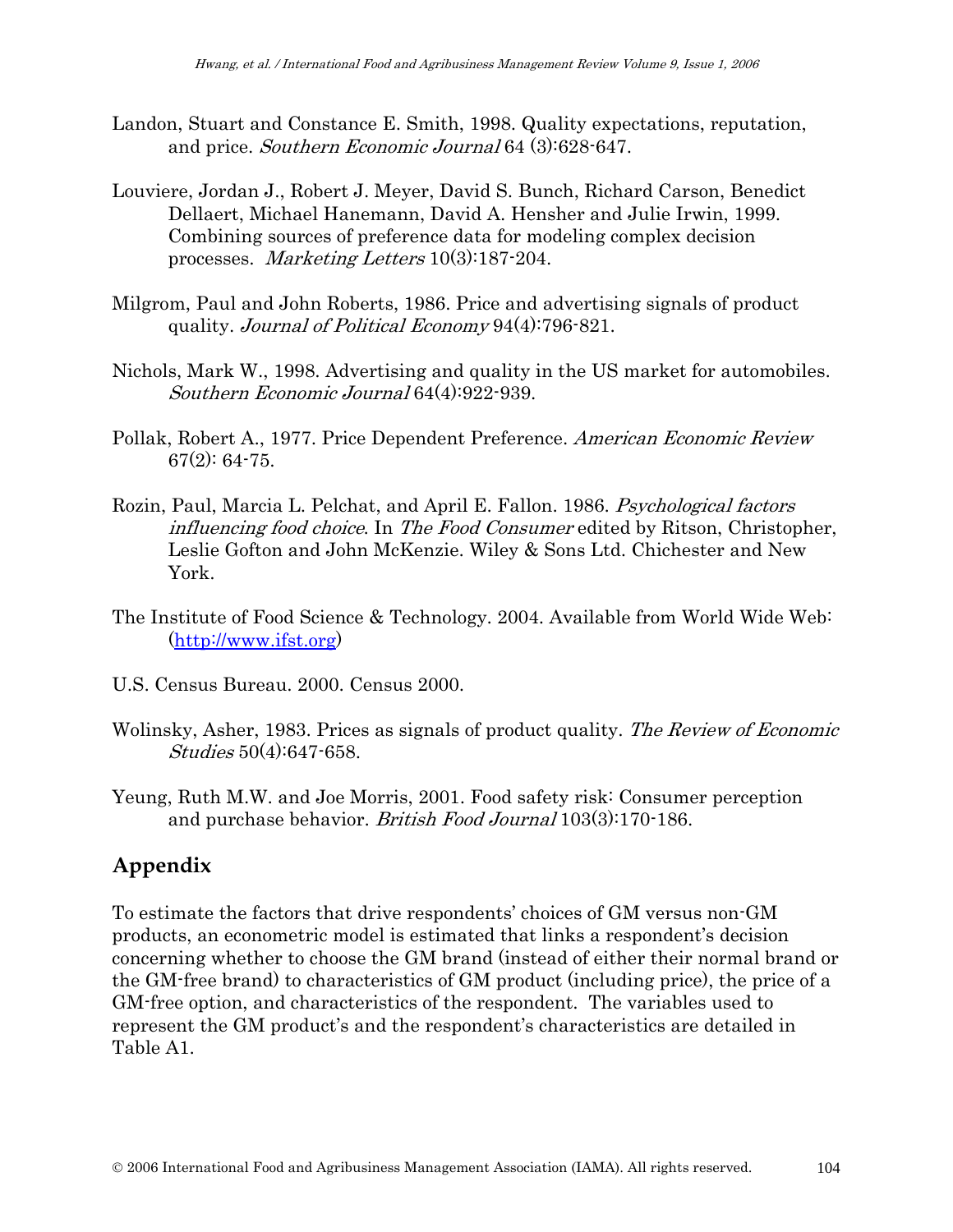- Landon, Stuart and Constance E. Smith, 1998. Quality expectations, reputation, and price. Southern Economic Journal 64 (3):628-647.
- Louviere, Jordan J., Robert J. Meyer, David S. Bunch, Richard Carson, Benedict Dellaert, Michael Hanemann, David A. Hensher and Julie Irwin, 1999. Combining sources of preference data for modeling complex decision processes. *Marketing Letters* 10(3):187-204.
- Milgrom, Paul and John Roberts, 1986. Price and advertising signals of product quality. Journal of Political Economy 94(4):796-821.
- Nichols, Mark W., 1998. Advertising and quality in the US market for automobiles. Southern Economic Journal 64(4):922-939.
- Pollak, Robert A., 1977. Price Dependent Preference. American Economic Review 67(2): 64-75.
- Rozin, Paul, Marcia L. Pelchat, and April E. Fallon. 1986. Psychological factors influencing food choice. In The Food Consumer edited by Ritson, Christopher, Leslie Gofton and John McKenzie. Wiley & Sons Ltd. Chichester and New York.
- The Institute of Food Science & Technology. 2004. Available from World Wide Web: (http://www.ifst.org)
- U.S. Census Bureau. 2000. Census 2000.
- Wolinsky, Asher, 1983. Prices as signals of product quality. The Review of Economic Studies 50(4):647-658.
- Yeung, Ruth M.W. and Joe Morris, 2001. Food safety risk: Consumer perception and purchase behavior. *British Food Journal* 103(3):170-186.

#### **Appendix**

To estimate the factors that drive respondents' choices of GM versus non-GM products, an econometric model is estimated that links a respondent's decision concerning whether to choose the GM brand (instead of either their normal brand or the GM-free brand) to characteristics of GM product (including price), the price of a GM-free option, and characteristics of the respondent. The variables used to represent the GM product's and the respondent's characteristics are detailed in Table A1.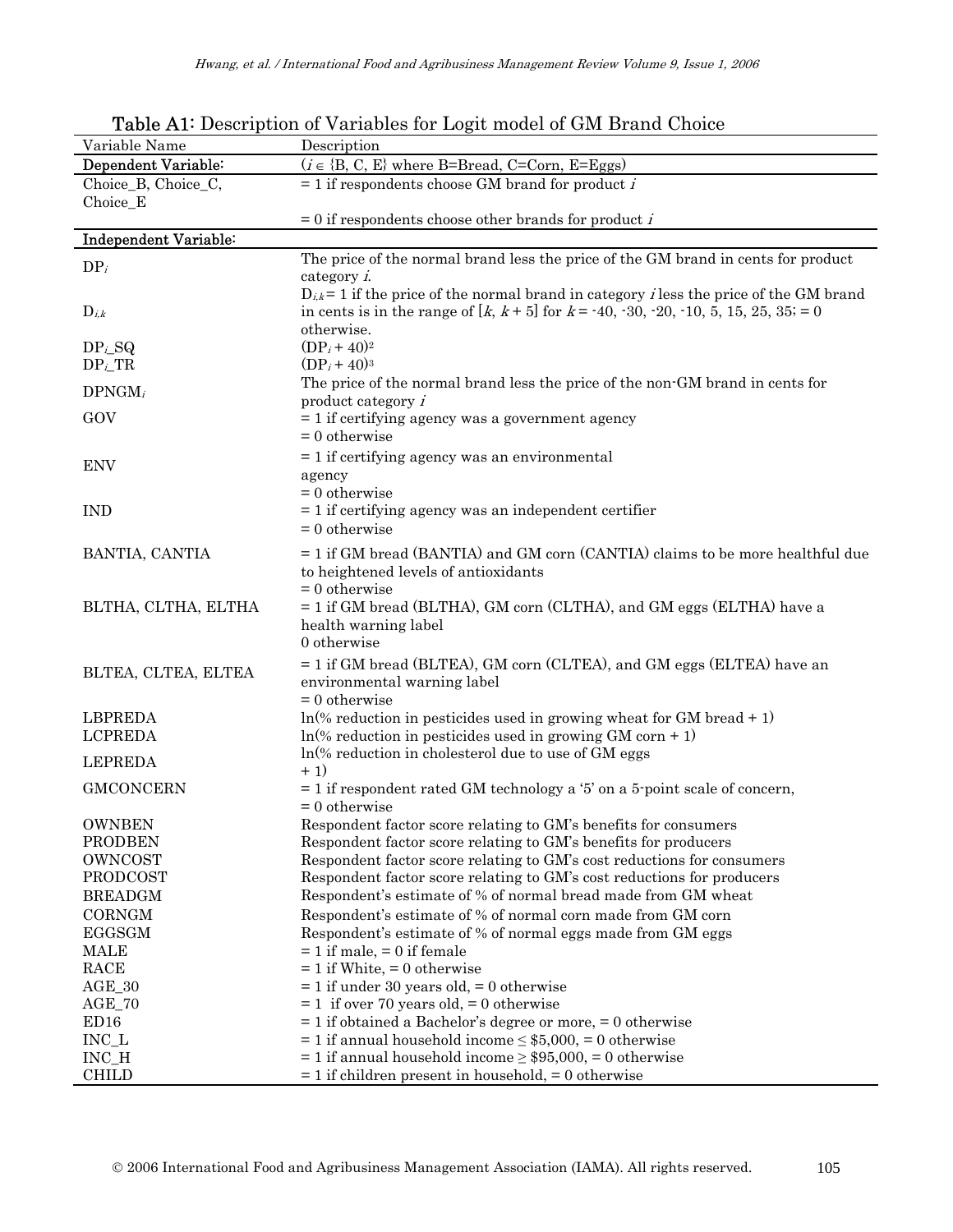| Dependent Variable:<br>$(i \in \{B, C, E\}$ where B=Bread, C=Corn, E=Eggs)<br>Choice_B, Choice_C,<br>$= 1$ if respondents choose GM brand for product <i>i</i><br>Choice_E<br>$= 0$ if respondents choose other brands for product <i>i</i><br><b>Independent Variable:</b><br>The price of the normal brand less the price of the GM brand in cents for product<br>$DP_i$<br>category i.<br>$D_{i,k}$ = 1 if the price of the normal brand in category <i>i</i> less the price of the GM brand<br>in cents is in the range of $[k, k+5]$ for $k = -40, -30, -20, -10, 5, 15, 25, 35 = 0$<br>$D_{i,k}$<br>otherwise.<br>$(DP_i + 40)^2$<br>DP <sub>i</sub> SQ<br>$DP_i_TR$<br>$(DP_i + 40)^3$<br>The price of the normal brand less the price of the non-GM brand in cents for<br>$DPNGM_i$<br>product category $i$<br>GOV<br>$= 1$ if certifying agency was a government agency<br>$= 0$ otherwise<br>$= 1$ if certifying agency was an environmental<br><b>ENV</b><br>agency<br>$= 0$ otherwise<br>$= 1$ if certifying agency was an independent certifier<br><b>IND</b><br>$= 0$ otherwise<br>$=$ 1 if GM bread (BANTIA) and GM corn (CANTIA) claims to be more healthful due<br>BANTIA, CANTIA<br>to heightened levels of antioxidants<br>$= 0$ otherwise<br>$= 1$ if GM bread (BLTHA), GM corn (CLTHA), and GM eggs (ELTHA) have a<br>BLTHA, CLTHA, ELTHA<br>health warning label<br>0 otherwise<br>$= 1$ if GM bread (BLTEA), GM corn (CLTEA), and GM eggs (ELTEA) have an<br>BLTEA, CLTEA, ELTEA<br>environmental warning label<br>$= 0$ otherwise<br><b>LBPREDA</b><br>$ln(\%$ reduction in pesticides used in growing wheat for GM bread + 1)<br><b>LCPREDA</b><br>$ln(\%$ reduction in pesticides used in growing GM corn + 1)<br>$ln(% \text{ reduction in cholesterol due to use of GM eggs})$<br><b>LEPREDA</b><br>$+1)$<br><b>GMCONCERN</b><br>$=$ 1 if respondent rated GM technology a '5' on a 5-point scale of concern,<br>$= 0$ otherwise<br><b>OWNBEN</b><br>Respondent factor score relating to GM's benefits for consumers<br><b>PRODBEN</b><br>Respondent factor score relating to GM's benefits for producers<br>OWNCOST<br>Respondent factor score relating to GM's cost reductions for consumers<br>PRODCOST<br>Respondent factor score relating to GM's cost reductions for producers<br>Respondent's estimate of % of normal bread made from GM wheat<br><b>BREADGM</b><br><b>CORNGM</b><br>Respondent's estimate of % of normal corn made from GM corn<br><b>EGGSGM</b><br>Respondent's estimate of % of normal eggs made from GM eggs<br><b>MALE</b><br>$= 1$ if male, $= 0$ if female<br>RACE<br>$= 1$ if White, $= 0$ otherwise | Variable Name | Description                                  |
|-----------------------------------------------------------------------------------------------------------------------------------------------------------------------------------------------------------------------------------------------------------------------------------------------------------------------------------------------------------------------------------------------------------------------------------------------------------------------------------------------------------------------------------------------------------------------------------------------------------------------------------------------------------------------------------------------------------------------------------------------------------------------------------------------------------------------------------------------------------------------------------------------------------------------------------------------------------------------------------------------------------------------------------------------------------------------------------------------------------------------------------------------------------------------------------------------------------------------------------------------------------------------------------------------------------------------------------------------------------------------------------------------------------------------------------------------------------------------------------------------------------------------------------------------------------------------------------------------------------------------------------------------------------------------------------------------------------------------------------------------------------------------------------------------------------------------------------------------------------------------------------------------------------------------------------------------------------------------------------------------------------------------------------------------------------------------------------------------------------------------------------------------------------------------------------------------------------------------------------------------------------------------------------------------------------------------------------------------------------------------------------------------------------------------------------------------------------------------------------------------------------------------------------------------------------------------------------------------------------------------------------------------------------------|---------------|----------------------------------------------|
|                                                                                                                                                                                                                                                                                                                                                                                                                                                                                                                                                                                                                                                                                                                                                                                                                                                                                                                                                                                                                                                                                                                                                                                                                                                                                                                                                                                                                                                                                                                                                                                                                                                                                                                                                                                                                                                                                                                                                                                                                                                                                                                                                                                                                                                                                                                                                                                                                                                                                                                                                                                                                                                                 |               |                                              |
|                                                                                                                                                                                                                                                                                                                                                                                                                                                                                                                                                                                                                                                                                                                                                                                                                                                                                                                                                                                                                                                                                                                                                                                                                                                                                                                                                                                                                                                                                                                                                                                                                                                                                                                                                                                                                                                                                                                                                                                                                                                                                                                                                                                                                                                                                                                                                                                                                                                                                                                                                                                                                                                                 |               |                                              |
|                                                                                                                                                                                                                                                                                                                                                                                                                                                                                                                                                                                                                                                                                                                                                                                                                                                                                                                                                                                                                                                                                                                                                                                                                                                                                                                                                                                                                                                                                                                                                                                                                                                                                                                                                                                                                                                                                                                                                                                                                                                                                                                                                                                                                                                                                                                                                                                                                                                                                                                                                                                                                                                                 |               |                                              |
|                                                                                                                                                                                                                                                                                                                                                                                                                                                                                                                                                                                                                                                                                                                                                                                                                                                                                                                                                                                                                                                                                                                                                                                                                                                                                                                                                                                                                                                                                                                                                                                                                                                                                                                                                                                                                                                                                                                                                                                                                                                                                                                                                                                                                                                                                                                                                                                                                                                                                                                                                                                                                                                                 |               |                                              |
|                                                                                                                                                                                                                                                                                                                                                                                                                                                                                                                                                                                                                                                                                                                                                                                                                                                                                                                                                                                                                                                                                                                                                                                                                                                                                                                                                                                                                                                                                                                                                                                                                                                                                                                                                                                                                                                                                                                                                                                                                                                                                                                                                                                                                                                                                                                                                                                                                                                                                                                                                                                                                                                                 |               |                                              |
|                                                                                                                                                                                                                                                                                                                                                                                                                                                                                                                                                                                                                                                                                                                                                                                                                                                                                                                                                                                                                                                                                                                                                                                                                                                                                                                                                                                                                                                                                                                                                                                                                                                                                                                                                                                                                                                                                                                                                                                                                                                                                                                                                                                                                                                                                                                                                                                                                                                                                                                                                                                                                                                                 |               |                                              |
|                                                                                                                                                                                                                                                                                                                                                                                                                                                                                                                                                                                                                                                                                                                                                                                                                                                                                                                                                                                                                                                                                                                                                                                                                                                                                                                                                                                                                                                                                                                                                                                                                                                                                                                                                                                                                                                                                                                                                                                                                                                                                                                                                                                                                                                                                                                                                                                                                                                                                                                                                                                                                                                                 |               |                                              |
|                                                                                                                                                                                                                                                                                                                                                                                                                                                                                                                                                                                                                                                                                                                                                                                                                                                                                                                                                                                                                                                                                                                                                                                                                                                                                                                                                                                                                                                                                                                                                                                                                                                                                                                                                                                                                                                                                                                                                                                                                                                                                                                                                                                                                                                                                                                                                                                                                                                                                                                                                                                                                                                                 |               |                                              |
|                                                                                                                                                                                                                                                                                                                                                                                                                                                                                                                                                                                                                                                                                                                                                                                                                                                                                                                                                                                                                                                                                                                                                                                                                                                                                                                                                                                                                                                                                                                                                                                                                                                                                                                                                                                                                                                                                                                                                                                                                                                                                                                                                                                                                                                                                                                                                                                                                                                                                                                                                                                                                                                                 |               |                                              |
|                                                                                                                                                                                                                                                                                                                                                                                                                                                                                                                                                                                                                                                                                                                                                                                                                                                                                                                                                                                                                                                                                                                                                                                                                                                                                                                                                                                                                                                                                                                                                                                                                                                                                                                                                                                                                                                                                                                                                                                                                                                                                                                                                                                                                                                                                                                                                                                                                                                                                                                                                                                                                                                                 |               |                                              |
|                                                                                                                                                                                                                                                                                                                                                                                                                                                                                                                                                                                                                                                                                                                                                                                                                                                                                                                                                                                                                                                                                                                                                                                                                                                                                                                                                                                                                                                                                                                                                                                                                                                                                                                                                                                                                                                                                                                                                                                                                                                                                                                                                                                                                                                                                                                                                                                                                                                                                                                                                                                                                                                                 |               |                                              |
|                                                                                                                                                                                                                                                                                                                                                                                                                                                                                                                                                                                                                                                                                                                                                                                                                                                                                                                                                                                                                                                                                                                                                                                                                                                                                                                                                                                                                                                                                                                                                                                                                                                                                                                                                                                                                                                                                                                                                                                                                                                                                                                                                                                                                                                                                                                                                                                                                                                                                                                                                                                                                                                                 |               |                                              |
|                                                                                                                                                                                                                                                                                                                                                                                                                                                                                                                                                                                                                                                                                                                                                                                                                                                                                                                                                                                                                                                                                                                                                                                                                                                                                                                                                                                                                                                                                                                                                                                                                                                                                                                                                                                                                                                                                                                                                                                                                                                                                                                                                                                                                                                                                                                                                                                                                                                                                                                                                                                                                                                                 |               |                                              |
|                                                                                                                                                                                                                                                                                                                                                                                                                                                                                                                                                                                                                                                                                                                                                                                                                                                                                                                                                                                                                                                                                                                                                                                                                                                                                                                                                                                                                                                                                                                                                                                                                                                                                                                                                                                                                                                                                                                                                                                                                                                                                                                                                                                                                                                                                                                                                                                                                                                                                                                                                                                                                                                                 |               |                                              |
|                                                                                                                                                                                                                                                                                                                                                                                                                                                                                                                                                                                                                                                                                                                                                                                                                                                                                                                                                                                                                                                                                                                                                                                                                                                                                                                                                                                                                                                                                                                                                                                                                                                                                                                                                                                                                                                                                                                                                                                                                                                                                                                                                                                                                                                                                                                                                                                                                                                                                                                                                                                                                                                                 |               |                                              |
|                                                                                                                                                                                                                                                                                                                                                                                                                                                                                                                                                                                                                                                                                                                                                                                                                                                                                                                                                                                                                                                                                                                                                                                                                                                                                                                                                                                                                                                                                                                                                                                                                                                                                                                                                                                                                                                                                                                                                                                                                                                                                                                                                                                                                                                                                                                                                                                                                                                                                                                                                                                                                                                                 |               |                                              |
|                                                                                                                                                                                                                                                                                                                                                                                                                                                                                                                                                                                                                                                                                                                                                                                                                                                                                                                                                                                                                                                                                                                                                                                                                                                                                                                                                                                                                                                                                                                                                                                                                                                                                                                                                                                                                                                                                                                                                                                                                                                                                                                                                                                                                                                                                                                                                                                                                                                                                                                                                                                                                                                                 |               |                                              |
|                                                                                                                                                                                                                                                                                                                                                                                                                                                                                                                                                                                                                                                                                                                                                                                                                                                                                                                                                                                                                                                                                                                                                                                                                                                                                                                                                                                                                                                                                                                                                                                                                                                                                                                                                                                                                                                                                                                                                                                                                                                                                                                                                                                                                                                                                                                                                                                                                                                                                                                                                                                                                                                                 |               |                                              |
|                                                                                                                                                                                                                                                                                                                                                                                                                                                                                                                                                                                                                                                                                                                                                                                                                                                                                                                                                                                                                                                                                                                                                                                                                                                                                                                                                                                                                                                                                                                                                                                                                                                                                                                                                                                                                                                                                                                                                                                                                                                                                                                                                                                                                                                                                                                                                                                                                                                                                                                                                                                                                                                                 |               |                                              |
|                                                                                                                                                                                                                                                                                                                                                                                                                                                                                                                                                                                                                                                                                                                                                                                                                                                                                                                                                                                                                                                                                                                                                                                                                                                                                                                                                                                                                                                                                                                                                                                                                                                                                                                                                                                                                                                                                                                                                                                                                                                                                                                                                                                                                                                                                                                                                                                                                                                                                                                                                                                                                                                                 |               |                                              |
|                                                                                                                                                                                                                                                                                                                                                                                                                                                                                                                                                                                                                                                                                                                                                                                                                                                                                                                                                                                                                                                                                                                                                                                                                                                                                                                                                                                                                                                                                                                                                                                                                                                                                                                                                                                                                                                                                                                                                                                                                                                                                                                                                                                                                                                                                                                                                                                                                                                                                                                                                                                                                                                                 |               |                                              |
|                                                                                                                                                                                                                                                                                                                                                                                                                                                                                                                                                                                                                                                                                                                                                                                                                                                                                                                                                                                                                                                                                                                                                                                                                                                                                                                                                                                                                                                                                                                                                                                                                                                                                                                                                                                                                                                                                                                                                                                                                                                                                                                                                                                                                                                                                                                                                                                                                                                                                                                                                                                                                                                                 |               |                                              |
|                                                                                                                                                                                                                                                                                                                                                                                                                                                                                                                                                                                                                                                                                                                                                                                                                                                                                                                                                                                                                                                                                                                                                                                                                                                                                                                                                                                                                                                                                                                                                                                                                                                                                                                                                                                                                                                                                                                                                                                                                                                                                                                                                                                                                                                                                                                                                                                                                                                                                                                                                                                                                                                                 |               |                                              |
|                                                                                                                                                                                                                                                                                                                                                                                                                                                                                                                                                                                                                                                                                                                                                                                                                                                                                                                                                                                                                                                                                                                                                                                                                                                                                                                                                                                                                                                                                                                                                                                                                                                                                                                                                                                                                                                                                                                                                                                                                                                                                                                                                                                                                                                                                                                                                                                                                                                                                                                                                                                                                                                                 |               |                                              |
|                                                                                                                                                                                                                                                                                                                                                                                                                                                                                                                                                                                                                                                                                                                                                                                                                                                                                                                                                                                                                                                                                                                                                                                                                                                                                                                                                                                                                                                                                                                                                                                                                                                                                                                                                                                                                                                                                                                                                                                                                                                                                                                                                                                                                                                                                                                                                                                                                                                                                                                                                                                                                                                                 |               |                                              |
|                                                                                                                                                                                                                                                                                                                                                                                                                                                                                                                                                                                                                                                                                                                                                                                                                                                                                                                                                                                                                                                                                                                                                                                                                                                                                                                                                                                                                                                                                                                                                                                                                                                                                                                                                                                                                                                                                                                                                                                                                                                                                                                                                                                                                                                                                                                                                                                                                                                                                                                                                                                                                                                                 |               |                                              |
|                                                                                                                                                                                                                                                                                                                                                                                                                                                                                                                                                                                                                                                                                                                                                                                                                                                                                                                                                                                                                                                                                                                                                                                                                                                                                                                                                                                                                                                                                                                                                                                                                                                                                                                                                                                                                                                                                                                                                                                                                                                                                                                                                                                                                                                                                                                                                                                                                                                                                                                                                                                                                                                                 |               |                                              |
|                                                                                                                                                                                                                                                                                                                                                                                                                                                                                                                                                                                                                                                                                                                                                                                                                                                                                                                                                                                                                                                                                                                                                                                                                                                                                                                                                                                                                                                                                                                                                                                                                                                                                                                                                                                                                                                                                                                                                                                                                                                                                                                                                                                                                                                                                                                                                                                                                                                                                                                                                                                                                                                                 |               |                                              |
|                                                                                                                                                                                                                                                                                                                                                                                                                                                                                                                                                                                                                                                                                                                                                                                                                                                                                                                                                                                                                                                                                                                                                                                                                                                                                                                                                                                                                                                                                                                                                                                                                                                                                                                                                                                                                                                                                                                                                                                                                                                                                                                                                                                                                                                                                                                                                                                                                                                                                                                                                                                                                                                                 |               |                                              |
|                                                                                                                                                                                                                                                                                                                                                                                                                                                                                                                                                                                                                                                                                                                                                                                                                                                                                                                                                                                                                                                                                                                                                                                                                                                                                                                                                                                                                                                                                                                                                                                                                                                                                                                                                                                                                                                                                                                                                                                                                                                                                                                                                                                                                                                                                                                                                                                                                                                                                                                                                                                                                                                                 |               |                                              |
|                                                                                                                                                                                                                                                                                                                                                                                                                                                                                                                                                                                                                                                                                                                                                                                                                                                                                                                                                                                                                                                                                                                                                                                                                                                                                                                                                                                                                                                                                                                                                                                                                                                                                                                                                                                                                                                                                                                                                                                                                                                                                                                                                                                                                                                                                                                                                                                                                                                                                                                                                                                                                                                                 |               |                                              |
|                                                                                                                                                                                                                                                                                                                                                                                                                                                                                                                                                                                                                                                                                                                                                                                                                                                                                                                                                                                                                                                                                                                                                                                                                                                                                                                                                                                                                                                                                                                                                                                                                                                                                                                                                                                                                                                                                                                                                                                                                                                                                                                                                                                                                                                                                                                                                                                                                                                                                                                                                                                                                                                                 |               |                                              |
|                                                                                                                                                                                                                                                                                                                                                                                                                                                                                                                                                                                                                                                                                                                                                                                                                                                                                                                                                                                                                                                                                                                                                                                                                                                                                                                                                                                                                                                                                                                                                                                                                                                                                                                                                                                                                                                                                                                                                                                                                                                                                                                                                                                                                                                                                                                                                                                                                                                                                                                                                                                                                                                                 |               |                                              |
|                                                                                                                                                                                                                                                                                                                                                                                                                                                                                                                                                                                                                                                                                                                                                                                                                                                                                                                                                                                                                                                                                                                                                                                                                                                                                                                                                                                                                                                                                                                                                                                                                                                                                                                                                                                                                                                                                                                                                                                                                                                                                                                                                                                                                                                                                                                                                                                                                                                                                                                                                                                                                                                                 |               |                                              |
|                                                                                                                                                                                                                                                                                                                                                                                                                                                                                                                                                                                                                                                                                                                                                                                                                                                                                                                                                                                                                                                                                                                                                                                                                                                                                                                                                                                                                                                                                                                                                                                                                                                                                                                                                                                                                                                                                                                                                                                                                                                                                                                                                                                                                                                                                                                                                                                                                                                                                                                                                                                                                                                                 |               |                                              |
|                                                                                                                                                                                                                                                                                                                                                                                                                                                                                                                                                                                                                                                                                                                                                                                                                                                                                                                                                                                                                                                                                                                                                                                                                                                                                                                                                                                                                                                                                                                                                                                                                                                                                                                                                                                                                                                                                                                                                                                                                                                                                                                                                                                                                                                                                                                                                                                                                                                                                                                                                                                                                                                                 |               |                                              |
|                                                                                                                                                                                                                                                                                                                                                                                                                                                                                                                                                                                                                                                                                                                                                                                                                                                                                                                                                                                                                                                                                                                                                                                                                                                                                                                                                                                                                                                                                                                                                                                                                                                                                                                                                                                                                                                                                                                                                                                                                                                                                                                                                                                                                                                                                                                                                                                                                                                                                                                                                                                                                                                                 |               |                                              |
|                                                                                                                                                                                                                                                                                                                                                                                                                                                                                                                                                                                                                                                                                                                                                                                                                                                                                                                                                                                                                                                                                                                                                                                                                                                                                                                                                                                                                                                                                                                                                                                                                                                                                                                                                                                                                                                                                                                                                                                                                                                                                                                                                                                                                                                                                                                                                                                                                                                                                                                                                                                                                                                                 |               |                                              |
|                                                                                                                                                                                                                                                                                                                                                                                                                                                                                                                                                                                                                                                                                                                                                                                                                                                                                                                                                                                                                                                                                                                                                                                                                                                                                                                                                                                                                                                                                                                                                                                                                                                                                                                                                                                                                                                                                                                                                                                                                                                                                                                                                                                                                                                                                                                                                                                                                                                                                                                                                                                                                                                                 |               |                                              |
|                                                                                                                                                                                                                                                                                                                                                                                                                                                                                                                                                                                                                                                                                                                                                                                                                                                                                                                                                                                                                                                                                                                                                                                                                                                                                                                                                                                                                                                                                                                                                                                                                                                                                                                                                                                                                                                                                                                                                                                                                                                                                                                                                                                                                                                                                                                                                                                                                                                                                                                                                                                                                                                                 |               |                                              |
|                                                                                                                                                                                                                                                                                                                                                                                                                                                                                                                                                                                                                                                                                                                                                                                                                                                                                                                                                                                                                                                                                                                                                                                                                                                                                                                                                                                                                                                                                                                                                                                                                                                                                                                                                                                                                                                                                                                                                                                                                                                                                                                                                                                                                                                                                                                                                                                                                                                                                                                                                                                                                                                                 |               |                                              |
|                                                                                                                                                                                                                                                                                                                                                                                                                                                                                                                                                                                                                                                                                                                                                                                                                                                                                                                                                                                                                                                                                                                                                                                                                                                                                                                                                                                                                                                                                                                                                                                                                                                                                                                                                                                                                                                                                                                                                                                                                                                                                                                                                                                                                                                                                                                                                                                                                                                                                                                                                                                                                                                                 |               |                                              |
|                                                                                                                                                                                                                                                                                                                                                                                                                                                                                                                                                                                                                                                                                                                                                                                                                                                                                                                                                                                                                                                                                                                                                                                                                                                                                                                                                                                                                                                                                                                                                                                                                                                                                                                                                                                                                                                                                                                                                                                                                                                                                                                                                                                                                                                                                                                                                                                                                                                                                                                                                                                                                                                                 | $AGE_30$      | $= 1$ if under 30 years old, $= 0$ otherwise |
| $AGE_70$<br>$= 1$ if over 70 years old, $= 0$ otherwise                                                                                                                                                                                                                                                                                                                                                                                                                                                                                                                                                                                                                                                                                                                                                                                                                                                                                                                                                                                                                                                                                                                                                                                                                                                                                                                                                                                                                                                                                                                                                                                                                                                                                                                                                                                                                                                                                                                                                                                                                                                                                                                                                                                                                                                                                                                                                                                                                                                                                                                                                                                                         |               |                                              |
| ED <sub>16</sub><br>$= 1$ if obtained a Bachelor's degree or more, $= 0$ otherwise<br>$INC_L$<br>$= 1$ if annual household income $\leq$ \$5,000, $= 0$ otherwise                                                                                                                                                                                                                                                                                                                                                                                                                                                                                                                                                                                                                                                                                                                                                                                                                                                                                                                                                                                                                                                                                                                                                                                                                                                                                                                                                                                                                                                                                                                                                                                                                                                                                                                                                                                                                                                                                                                                                                                                                                                                                                                                                                                                                                                                                                                                                                                                                                                                                               |               |                                              |
| INC_H<br>$= 1$ if annual household income $\geq$ \$95,000, $= 0$ otherwise                                                                                                                                                                                                                                                                                                                                                                                                                                                                                                                                                                                                                                                                                                                                                                                                                                                                                                                                                                                                                                                                                                                                                                                                                                                                                                                                                                                                                                                                                                                                                                                                                                                                                                                                                                                                                                                                                                                                                                                                                                                                                                                                                                                                                                                                                                                                                                                                                                                                                                                                                                                      |               |                                              |
| <b>CHILD</b><br>$= 1$ if children present in household, $= 0$ otherwise                                                                                                                                                                                                                                                                                                                                                                                                                                                                                                                                                                                                                                                                                                                                                                                                                                                                                                                                                                                                                                                                                                                                                                                                                                                                                                                                                                                                                                                                                                                                                                                                                                                                                                                                                                                                                                                                                                                                                                                                                                                                                                                                                                                                                                                                                                                                                                                                                                                                                                                                                                                         |               |                                              |

Table A1: Description of Variables for Logit model of GM Brand Choice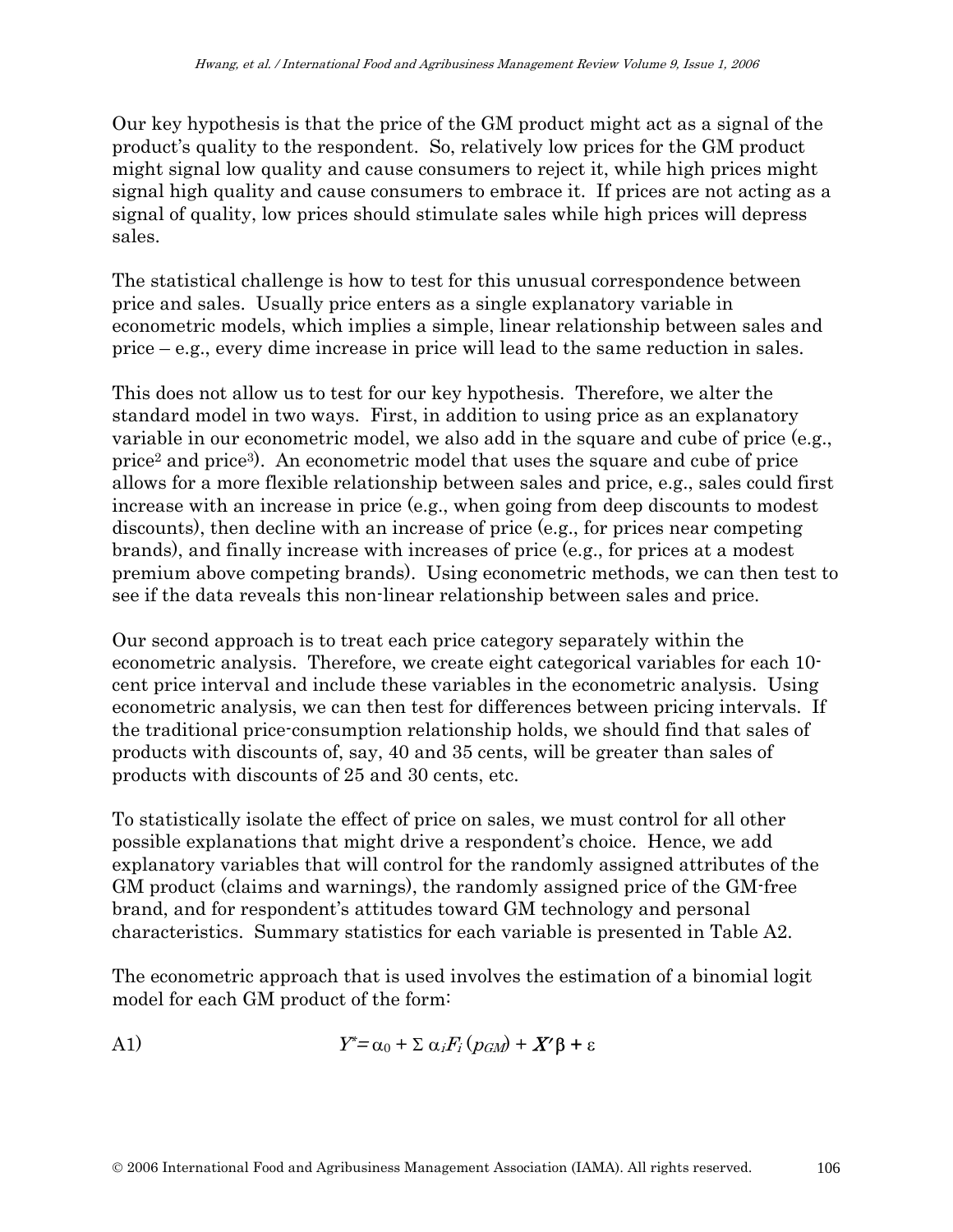Our key hypothesis is that the price of the GM product might act as a signal of the product's quality to the respondent. So, relatively low prices for the GM product might signal low quality and cause consumers to reject it, while high prices might signal high quality and cause consumers to embrace it. If prices are not acting as a signal of quality, low prices should stimulate sales while high prices will depress sales.

The statistical challenge is how to test for this unusual correspondence between price and sales. Usually price enters as a single explanatory variable in econometric models, which implies a simple, linear relationship between sales and price – e.g., every dime increase in price will lead to the same reduction in sales.

This does not allow us to test for our key hypothesis. Therefore, we alter the standard model in two ways. First, in addition to using price as an explanatory variable in our econometric model, we also add in the square and cube of price (e.g., price2 and price3). An econometric model that uses the square and cube of price allows for a more flexible relationship between sales and price, e.g., sales could first increase with an increase in price (e.g., when going from deep discounts to modest discounts), then decline with an increase of price (e.g., for prices near competing brands), and finally increase with increases of price (e.g., for prices at a modest premium above competing brands). Using econometric methods, we can then test to see if the data reveals this non-linear relationship between sales and price.

Our second approach is to treat each price category separately within the econometric analysis. Therefore, we create eight categorical variables for each 10 cent price interval and include these variables in the econometric analysis. Using econometric analysis, we can then test for differences between pricing intervals. If the traditional price-consumption relationship holds, we should find that sales of products with discounts of, say, 40 and 35 cents, will be greater than sales of products with discounts of 25 and 30 cents, etc.

To statistically isolate the effect of price on sales, we must control for all other possible explanations that might drive a respondent's choice. Hence, we add explanatory variables that will control for the randomly assigned attributes of the GM product (claims and warnings), the randomly assigned price of the GM-free brand, and for respondent's attitudes toward GM technology and personal characteristics. Summary statistics for each variable is presented in Table A2.

The econometric approach that is used involves the estimation of a binomial logit model for each GM product of the form:

A1) 
$$
Y^* = \alpha_0 + \sum \alpha_i F_i (p_{GM}) + X' \beta + \varepsilon
$$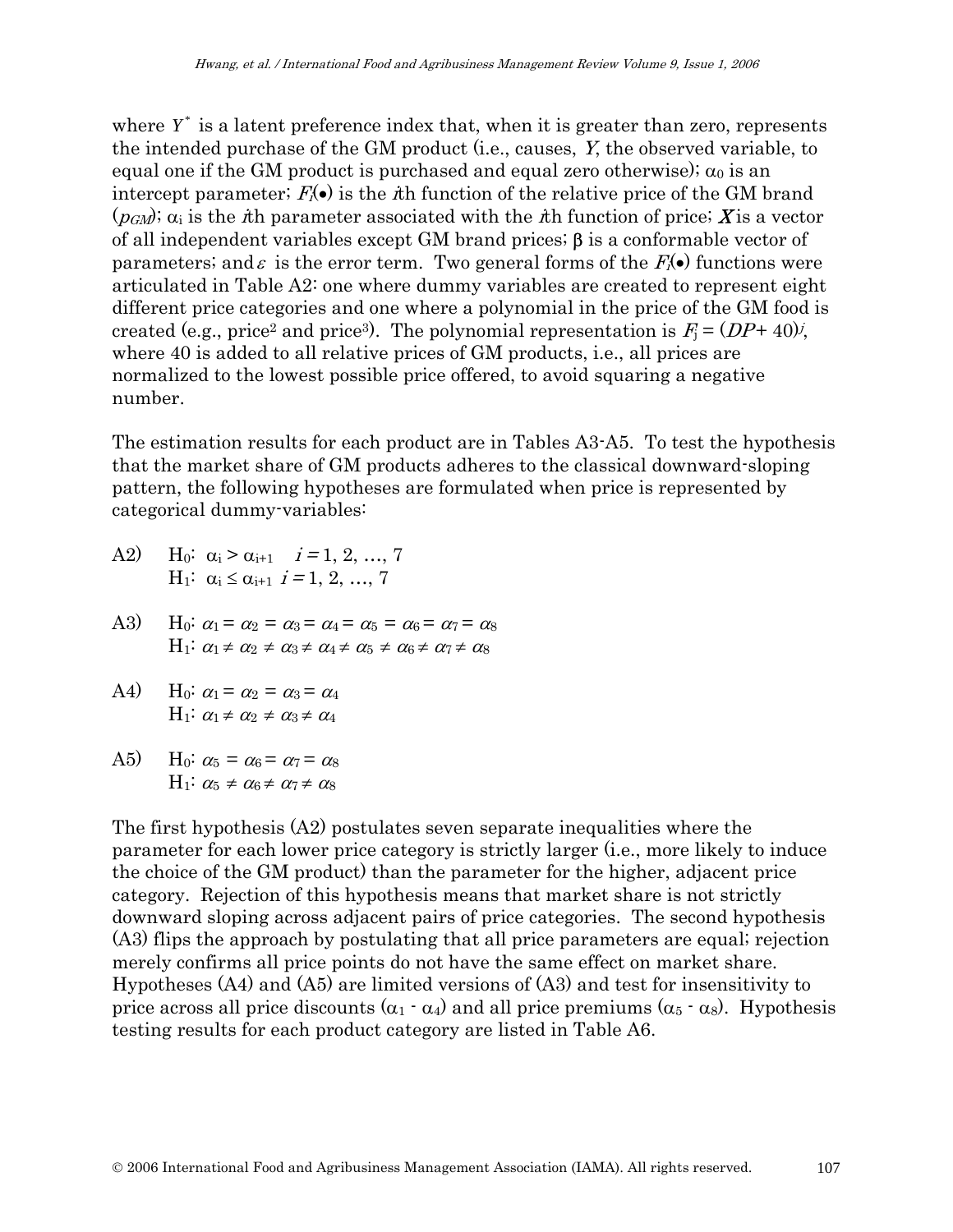where  $Y^*$  is a latent preference index that, when it is greater than zero, represents the intended purchase of the GM product (i.e., causes, Y, the observed variable, to equal one if the GM product is purchased and equal zero otherwise);  $\alpha_0$  is an intercept parameter;  $F_i(\bullet)$  is the *i*th function of the relative price of the GM brand  $(p<sub>GM</sub>)$ ;  $\alpha_i$  is the *i*th parameter associated with the *i*th function of price; **X** is a vector of all independent variables except GM brand prices; β is a conformable vector of parameters; and  $\varepsilon$  is the error term. Two general forms of the  $F_i(\bullet)$  functions were articulated in Table A2: one where dummy variables are created to represent eight different price categories and one where a polynomial in the price of the GM food is created (e.g., price<sup>2</sup> and price<sup>3</sup>). The polynomial representation is  $F_i = (DP + 40)i$ , where 40 is added to all relative prices of GM products, i.e., all prices are normalized to the lowest possible price offered, to avoid squaring a negative number.

The estimation results for each product are in Tables A3-A5. To test the hypothesis that the market share of GM products adheres to the classical downward-sloping pattern, the following hypotheses are formulated when price is represented by categorical dummy-variables:

- A2) H<sub>0</sub>:  $\alpha_i > \alpha_{i+1}$   $i = 1, 2, ..., 7$  $H_1$ :  $\alpha_i \leq \alpha_{i+1}$  *i* = 1, 2, ..., 7
- A3) H<sub>0</sub>:  $\alpha_1 = \alpha_2 = \alpha_3 = \alpha_4 = \alpha_5 = \alpha_6 = \alpha_7 = \alpha_8$  $H_1$ :  $\alpha_1 \neq \alpha_2 \neq \alpha_3 \neq \alpha_4 \neq \alpha_5 \neq \alpha_6 \neq \alpha_7 \neq \alpha_8$
- A4) H<sub>0</sub>:  $\alpha_1 = \alpha_2 = \alpha_3 = \alpha_4$  $H_1$ :  $\alpha_1 \neq \alpha_2 \neq \alpha_3 \neq \alpha_4$
- A5) H<sub>0</sub>:  $\alpha_5 = \alpha_6 = \alpha_7 = \alpha_8$  $H_1$ :  $\alpha_5 \neq \alpha_6 \neq \alpha_7 \neq \alpha_8$

The first hypothesis  $(A2)$  postulates seven separate inequalities where the parameter for each lower price category is strictly larger (i.e., more likely to induce the choice of the GM product) than the parameter for the higher, adjacent price category. Rejection of this hypothesis means that market share is not strictly downward sloping across adjacent pairs of price categories. The second hypothesis (A3) flips the approach by postulating that all price parameters are equal; rejection merely confirms all price points do not have the same effect on market share. Hypotheses (A4) and (A5) are limited versions of (A3) and test for insensitivity to price across all price discounts  $(\alpha_1 \cdot \alpha_4)$  and all price premiums  $(\alpha_5 \cdot \alpha_8)$ . Hypothesis testing results for each product category are listed in Table A6.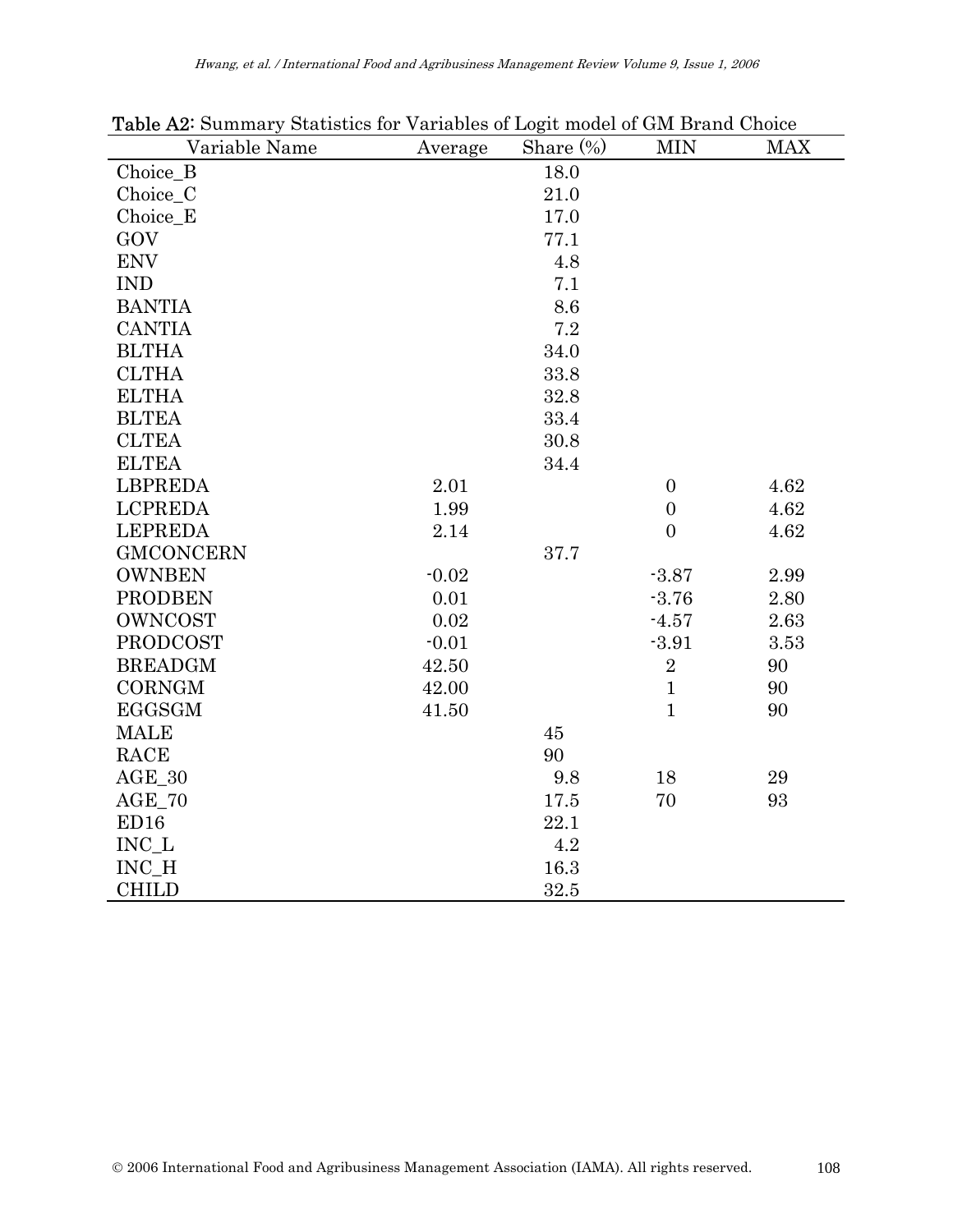| <b>rasic Le</b> Cammary Diamonto for Variables of Logic model of GM Drama Choice<br>Variable Name | Average | Share $(\%)$ | <b>MIN</b>       | <b>MAX</b> |
|---------------------------------------------------------------------------------------------------|---------|--------------|------------------|------------|
| Choice_B                                                                                          |         | 18.0         |                  |            |
| Choice_C                                                                                          |         | 21.0         |                  |            |
| Choice E                                                                                          |         | 17.0         |                  |            |
| GOV                                                                                               |         | 77.1         |                  |            |
| <b>ENV</b>                                                                                        |         | 4.8          |                  |            |
| <b>IND</b>                                                                                        |         | 7.1          |                  |            |
| <b>BANTIA</b>                                                                                     |         | 8.6          |                  |            |
| <b>CANTIA</b>                                                                                     |         | 7.2          |                  |            |
| <b>BLTHA</b>                                                                                      |         | 34.0         |                  |            |
| <b>CLTHA</b>                                                                                      |         | 33.8         |                  |            |
| <b>ELTHA</b>                                                                                      |         | 32.8         |                  |            |
| <b>BLTEA</b>                                                                                      |         | 33.4         |                  |            |
| <b>CLTEA</b>                                                                                      |         | 30.8         |                  |            |
| <b>ELTEA</b>                                                                                      |         | 34.4         |                  |            |
| <b>LBPREDA</b>                                                                                    | 2.01    |              | $\boldsymbol{0}$ | 4.62       |
| <b>LCPREDA</b>                                                                                    | 1.99    |              | $\boldsymbol{0}$ | 4.62       |
| <b>LEPREDA</b>                                                                                    | 2.14    |              | $\overline{0}$   | 4.62       |
| <b>GMCONCERN</b>                                                                                  |         | 37.7         |                  |            |
| <b>OWNBEN</b>                                                                                     | $-0.02$ |              | $-3.87$          | 2.99       |
| <b>PRODBEN</b>                                                                                    | 0.01    |              | $-3.76$          | 2.80       |
| OWNCOST                                                                                           | 0.02    |              | $-4.57$          | 2.63       |
| <b>PRODCOST</b>                                                                                   | $-0.01$ |              | $-3.91$          | 3.53       |
| <b>BREADGM</b>                                                                                    | 42.50   |              | $\overline{2}$   | 90         |
| <b>CORNGM</b>                                                                                     | 42.00   |              | $\mathbf{1}$     | 90         |
| <b>EGGSGM</b>                                                                                     | 41.50   |              | $\mathbf{1}$     | 90         |
| <b>MALE</b>                                                                                       |         | 45           |                  |            |
| RACE                                                                                              |         | 90           |                  |            |
| $AGE_30$                                                                                          |         | 9.8          | 18               | 29         |
| $AGE_70$                                                                                          |         | 17.5         | 70               | 93         |
| ED16                                                                                              |         | 22.1         |                  |            |
| $INC_L$                                                                                           |         | 4.2          |                  |            |
| INC H                                                                                             |         | 16.3         |                  |            |
| <b>CHILD</b>                                                                                      |         | 32.5         |                  |            |

Table A2: Summary Statistics for Variables of Logit model of GM Brand Choice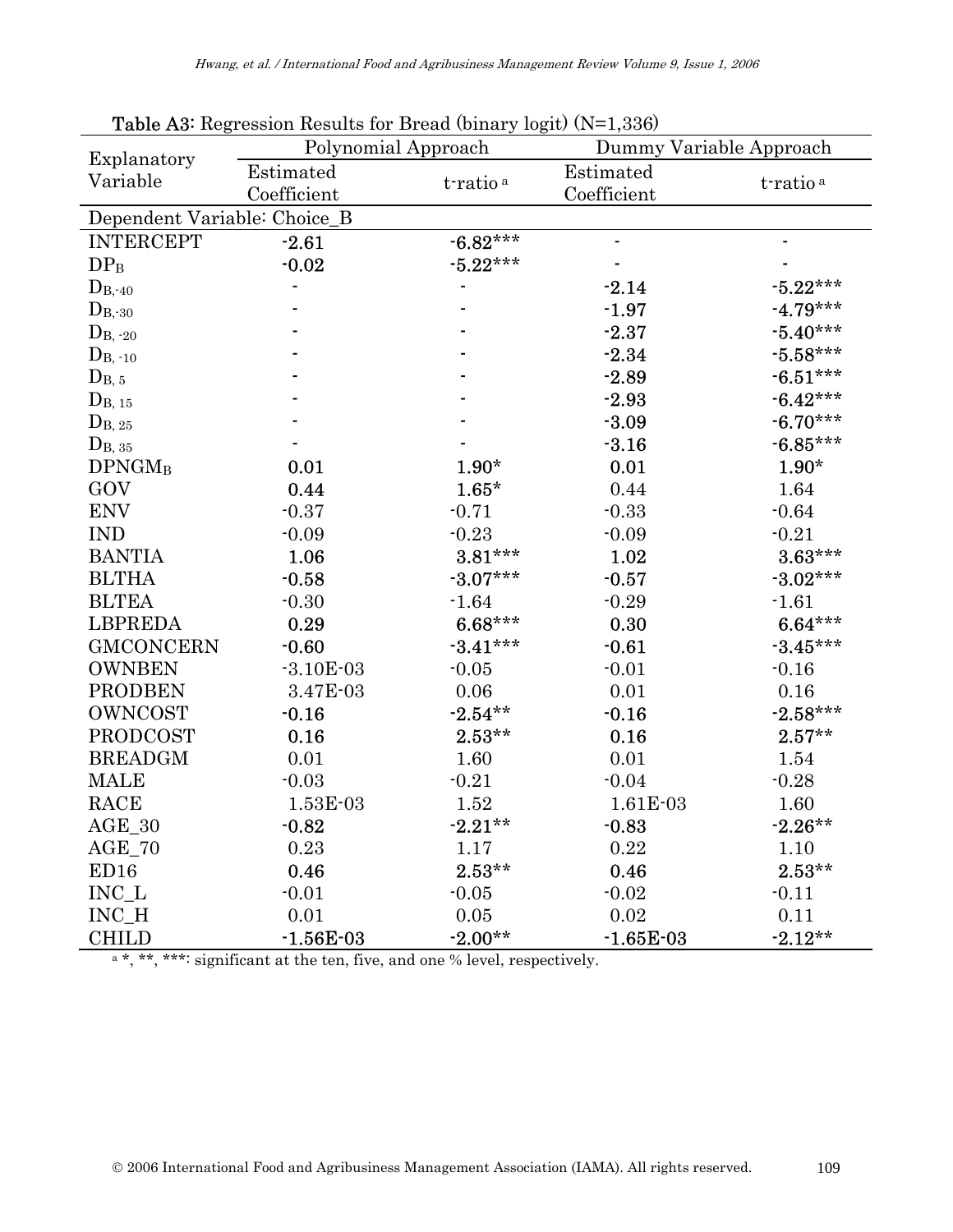| Explanatory                  | Polynomial Approach |                      | Dummy Variable Approach |                      |  |  |  |  |  |
|------------------------------|---------------------|----------------------|-------------------------|----------------------|--|--|--|--|--|
| Variable                     | Estimated           |                      | Estimated               |                      |  |  |  |  |  |
|                              | Coefficient         | t-ratio <sup>a</sup> | Coefficient             | t-ratio <sup>a</sup> |  |  |  |  |  |
| Dependent Variable: Choice_B |                     |                      |                         |                      |  |  |  |  |  |
| <b>INTERCEPT</b>             | $-2.61$             | $-6.82***$           | $\blacksquare$          |                      |  |  |  |  |  |
| DP <sub>B</sub>              | $-0.02$             | $-5.22***$           |                         |                      |  |  |  |  |  |
| $D_{B, 40}$                  |                     |                      | $-2.14$                 | $-5.22***$           |  |  |  |  |  |
| $D_{B,30}$                   |                     |                      | $-1.97$                 | $-4.79***$           |  |  |  |  |  |
| $D_{B, 20}$                  |                     |                      | $-2.37$                 | $-5.40***$           |  |  |  |  |  |
| $D_{B, 10}$                  |                     |                      | $-2.34$                 | $-5.58***$           |  |  |  |  |  |
| $D_{B, 5}$                   |                     |                      | $-2.89$                 | $-6.51***$           |  |  |  |  |  |
| $D_{B, 15}$                  |                     |                      | $-2.93$                 | $-6.42***$           |  |  |  |  |  |
| $D_{B, 25}$                  |                     |                      | $-3.09$                 | $-6.70***$           |  |  |  |  |  |
| $D_{B, 35}$                  |                     |                      | $-3.16$                 | $-6.85***$           |  |  |  |  |  |
| <b>DPNGMB</b>                | 0.01                | $1.90*$              | 0.01                    | $1.90*$              |  |  |  |  |  |
| GOV                          | 0.44                | $1.65*$              | 0.44                    | 1.64                 |  |  |  |  |  |
| <b>ENV</b>                   | $-0.37$             | $-0.71$              | $-0.33$                 | $-0.64$              |  |  |  |  |  |
| <b>IND</b>                   | $-0.09$             | $-0.23$              | $-0.09$                 | $-0.21$              |  |  |  |  |  |
| <b>BANTIA</b>                | 1.06                | $3.81***$            | 1.02                    | $3.63***$            |  |  |  |  |  |
| <b>BLTHA</b>                 | $-0.58$             | $-3.07***$           | $-0.57$                 | $-3.02***$           |  |  |  |  |  |
| <b>BLTEA</b>                 | $-0.30$             | $-1.64$              | $-0.29$                 | $-1.61$              |  |  |  |  |  |
| <b>LBPREDA</b>               | 0.29                | $6.68***$            | 0.30                    | $6.64***$            |  |  |  |  |  |
| <b>GMCONCERN</b>             | $-0.60$             | $-3.41***$           | $-0.61$                 | $-3.45***$           |  |  |  |  |  |
| <b>OWNBEN</b>                | $-3.10E-03$         | $-0.05$              | $-0.01$                 | $-0.16$              |  |  |  |  |  |
| <b>PRODBEN</b>               | 3.47E-03            | 0.06                 | 0.01                    | 0.16                 |  |  |  |  |  |
| <b>OWNCOST</b>               | $-0.16$             | $-2.54**$            | $-0.16$                 | $-2.58***$           |  |  |  |  |  |
| <b>PRODCOST</b>              | 0.16                | $2.53**$             | 0.16                    | $2.57**$             |  |  |  |  |  |
| <b>BREADGM</b>               | 0.01                | 1.60                 | 0.01                    | 1.54                 |  |  |  |  |  |
| <b>MALE</b>                  | $-0.03$             | $-0.21$              | $-0.04$                 | $-0.28$              |  |  |  |  |  |
| <b>RACE</b>                  | 1.53E-03            | 1.52                 | 1.61E-03                | 1.60                 |  |  |  |  |  |
| $\text{AGE}\_30$             | $-0.82$             | $-2.21**$            | $-0.83$                 | $-2.26**$            |  |  |  |  |  |
| $AGE_70$                     | 0.23                | 1.17                 | 0.22                    | 1.10                 |  |  |  |  |  |
| ED <sub>16</sub>             | 0.46                | $2.53**$             | 0.46                    | $2.53**$             |  |  |  |  |  |
| $\rm INC\_L$                 | $-0.01$             | $-0.05$              | $-0.02$                 | $-0.11$              |  |  |  |  |  |
| INC_H                        | 0.01                | 0.05                 | 0.02                    | 0.11                 |  |  |  |  |  |
| <b>CHILD</b>                 | $-1.56E-03$         | $-2.00**$            | $-1.65E-03$             | $-2.12**$            |  |  |  |  |  |

Table A3: Regression Results for Bread (binary logit) (N=1,336)

 $a^*, *^*, **:$  significant at the ten, five, and one % level, respectively.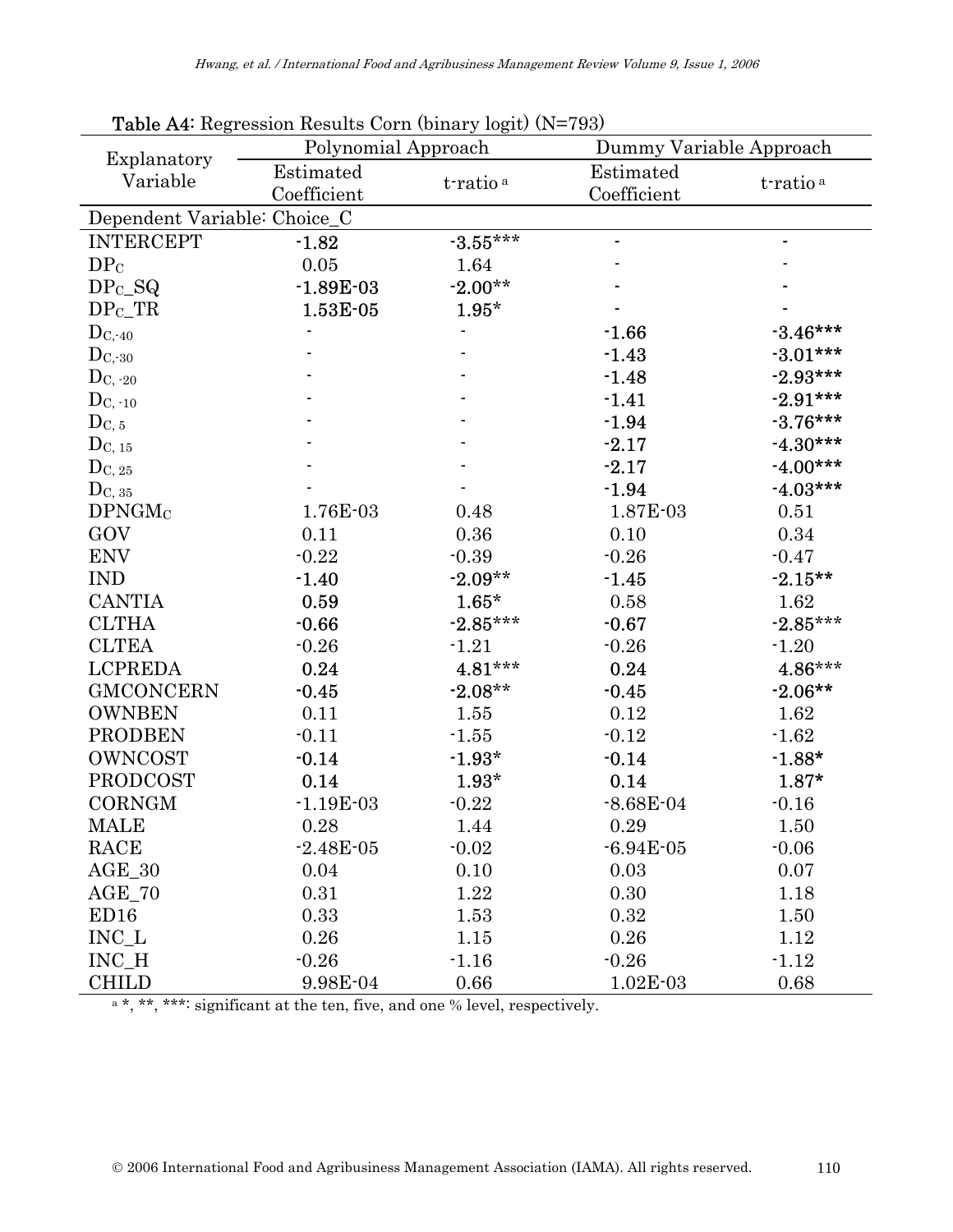| Explanatory                  | $\sim$<br>Polynomial Approach                    |            | Dummy Variable Approach  |                      |  |  |  |
|------------------------------|--------------------------------------------------|------------|--------------------------|----------------------|--|--|--|
| Variable                     | Estimated<br>t-ratio <sup>a</sup><br>Coefficient |            | Estimated<br>Coefficient | t-ratio <sup>a</sup> |  |  |  |
| Dependent Variable: Choice_C |                                                  |            |                          |                      |  |  |  |
| <b>INTERCEPT</b>             | $-1.82$                                          | $-3.55***$ |                          |                      |  |  |  |
| DP <sub>C</sub>              | $0.05\,$                                         | 1.64       |                          |                      |  |  |  |
| $DPc_SQ$                     | $-1.89E-03$                                      | $-2.00**$  |                          |                      |  |  |  |
| DP <sub>C</sub> TR           | 1.53E-05                                         | $1.95*$    |                          |                      |  |  |  |
| $D_{C,40}$                   |                                                  |            | $-1.66$                  | $-3.46***$           |  |  |  |
| $D_{C,30}$                   |                                                  |            | $-1.43$                  | $-3.01***$           |  |  |  |
| $D_{C, 20}$                  |                                                  |            | $-1.48$                  | $-2.93***$           |  |  |  |
| $D_{C, -10}$                 |                                                  |            | $-1.41$                  | $-2.91***$           |  |  |  |
| $D_{C, 5}$                   |                                                  |            | $-1.94$                  | $-3.76***$           |  |  |  |
| $D_{\rm C,~15}$              |                                                  |            | $-2.17$                  | $-4.30***$           |  |  |  |
| $D_{C, 25}$                  |                                                  |            | $-2.17$                  | $-4.00***$           |  |  |  |
| $D_{C, 35}$                  |                                                  |            | $-1.94$                  | $-4.03***$           |  |  |  |
| DPNGM <sub>C</sub>           | 1.76E-03                                         | 0.48       | 1.87E-03                 | 0.51                 |  |  |  |
| GOV                          | 0.11                                             | 0.36       | 0.10                     | 0.34                 |  |  |  |
| <b>ENV</b>                   | $-0.22$                                          | $-0.39$    | $-0.26$                  | $-0.47$              |  |  |  |
| <b>IND</b>                   | $-1.40$                                          | $-2.09**$  | $-1.45$                  | $-2.15**$            |  |  |  |
| <b>CANTIA</b>                | 0.59                                             | $1.65*$    | 0.58                     | 1.62                 |  |  |  |
| <b>CLTHA</b>                 | $-0.66$                                          | $-2.85***$ | $-0.67$                  | $-2.85***$           |  |  |  |
| <b>CLTEA</b>                 | $-0.26$                                          | $-1.21$    | $-0.26$                  | $-1.20$              |  |  |  |
| <b>LCPREDA</b>               | 0.24                                             | $4.81***$  | 0.24                     | $4.86***$            |  |  |  |
| <b>GMCONCERN</b>             | $-0.45$                                          | $-2.08**$  | $-0.45$                  | $-2.06**$            |  |  |  |
| <b>OWNBEN</b>                | 0.11                                             | 1.55       | 0.12                     | 1.62                 |  |  |  |
| <b>PRODBEN</b>               | $-0.11$                                          | $-1.55$    | $-0.12$                  | $-1.62$              |  |  |  |
| <b>OWNCOST</b>               | $-0.14$                                          | $-1.93*$   | $-0.14$                  | $-1.88*$             |  |  |  |
| <b>PRODCOST</b>              | 0.14                                             | $1.93*$    | 0.14                     | $1.87*$              |  |  |  |
| <b>CORNGM</b>                | $-1.19E-03$                                      | $-0.22$    | $-8.68E - 04$            | $-0.16$              |  |  |  |
| <b>MALE</b>                  | 0.28                                             | 1.44       | 0.29                     | 1.50                 |  |  |  |
| RACE                         | $-2.48E - 05$                                    | $-0.02$    | $-6.94E-05$              | $-0.06$              |  |  |  |
| $AGE_30$                     | 0.04                                             | 0.10       | 0.03                     | 0.07                 |  |  |  |
| $AGE_70$                     | 0.31                                             | 1.22       | 0.30                     | 1.18                 |  |  |  |
| ED16                         | 0.33                                             | 1.53       | 0.32                     | 1.50                 |  |  |  |
| $INC_L$                      | 0.26                                             | 1.15       | 0.26                     | 1.12                 |  |  |  |
| INC_H                        | $-0.26$                                          | $-1.16$    | $-0.26$                  | $-1.12$              |  |  |  |
| <b>CHILD</b>                 | 9.98E-04                                         | 0.66       | $1.02E-03$               | 0.68                 |  |  |  |

Table A4: Regression Results Corn (binary logit) (N=793)

 $e^*$ , \*\*, \*\*\*: significant at the ten, five, and one % level, respectively.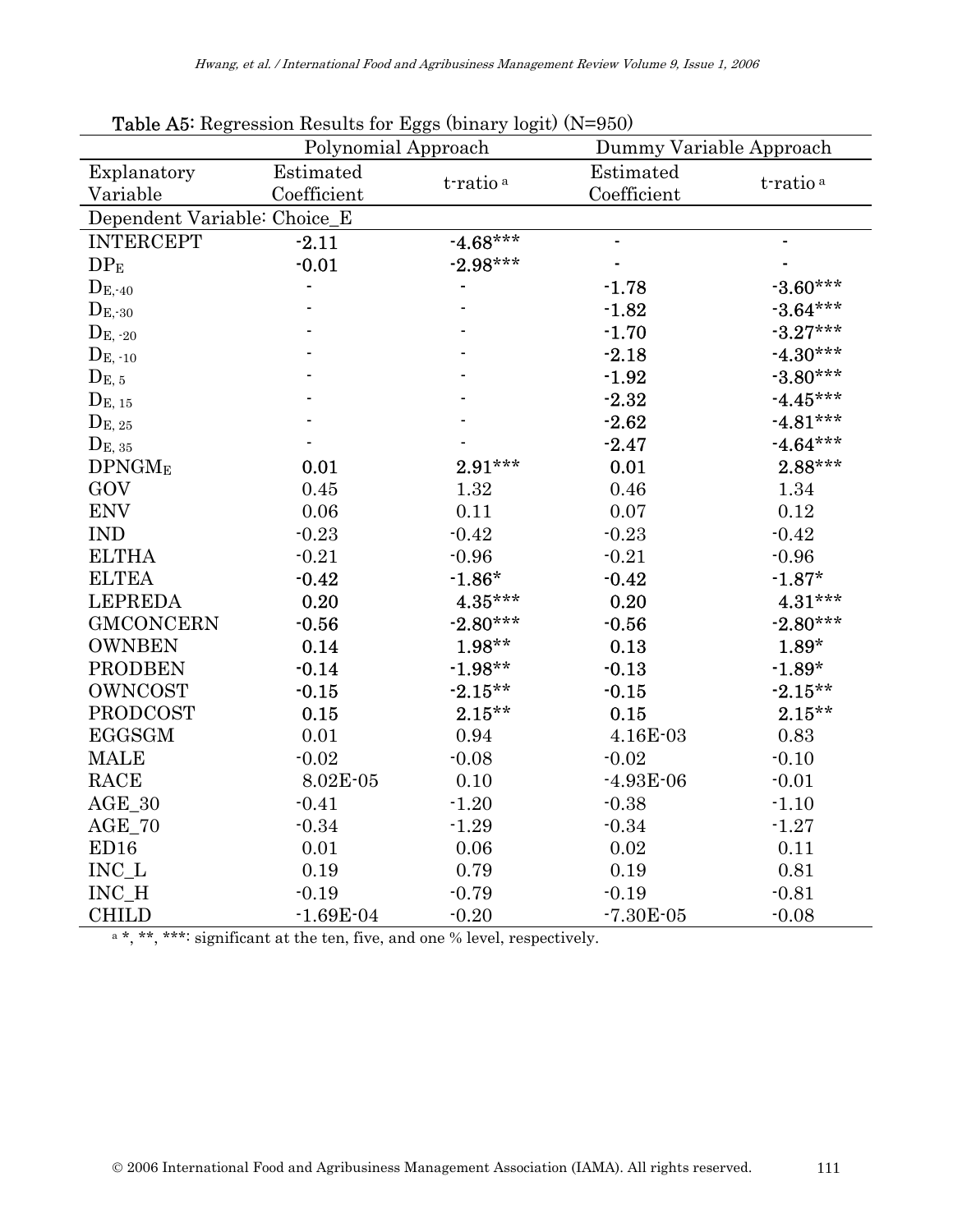|                              | <b>radic rio.</b> He gression hessiles for $\mu$ ggs (binary logie) (1) |                      | $\boldsymbol{v}$        |                      |  |  |  |
|------------------------------|-------------------------------------------------------------------------|----------------------|-------------------------|----------------------|--|--|--|
|                              | Polynomial Approach                                                     |                      | Dummy Variable Approach |                      |  |  |  |
| Explanatory                  | Estimated                                                               | t-ratio <sup>a</sup> | Estimated               | t-ratio <sup>a</sup> |  |  |  |
| Variable                     | Coefficient                                                             |                      | Coefficient             |                      |  |  |  |
| Dependent Variable: Choice_E |                                                                         |                      |                         |                      |  |  |  |
| <b>INTERCEPT</b>             | $-2.11$                                                                 | $-4.68***$           | $\blacksquare$          |                      |  |  |  |
| DP <sub>E</sub>              | $-0.01$                                                                 | $-2.98***$           |                         |                      |  |  |  |
| $D_{E, 40}$                  |                                                                         |                      | $-1.78$                 | $-3.60***$           |  |  |  |
| $D_{E,30}$                   |                                                                         |                      | $-1.82$                 | $-3.64***$           |  |  |  |
| $D_{E, 20}$                  |                                                                         |                      | $-1.70$                 | $-3.27***$           |  |  |  |
| $D_{\mathrm{E},-10}$         |                                                                         |                      | $-2.18$                 | $-4.30***$           |  |  |  |
| $D_{E, 5}$                   |                                                                         |                      | $-1.92$                 | $-3.80***$           |  |  |  |
| $D_{E, 15}$                  |                                                                         |                      | $-2.32$                 | $-4.45***$           |  |  |  |
| $D_{E, 25}$                  |                                                                         |                      | $-2.62$                 | $-4.81***$           |  |  |  |
| $D_{E, 35}$                  |                                                                         |                      | $-2.47$                 | $-4.64***$           |  |  |  |
| DPNGM <sub>E</sub>           | 0.01                                                                    | $2.91***$            | 0.01                    | $2.88***$            |  |  |  |
| GOV                          | 0.45                                                                    | 1.32                 | 0.46                    | 1.34                 |  |  |  |
| <b>ENV</b>                   | 0.06                                                                    | 0.11                 | 0.07                    | 0.12                 |  |  |  |
| <b>IND</b>                   | $-0.23$                                                                 | $-0.42$              | $-0.23$                 | $-0.42$              |  |  |  |
| <b>ELTHA</b>                 | $-0.21$                                                                 | $-0.96$              | $-0.21$                 | $-0.96$              |  |  |  |
| <b>ELTEA</b>                 | $-0.42$                                                                 | $-1.86*$             | $-0.42$                 | $-1.87*$             |  |  |  |
| <b>LEPREDA</b>               | 0.20                                                                    | 4.35***              | 0.20                    | 4.31***              |  |  |  |
| <b>GMCONCERN</b>             | $-0.56$                                                                 | $-2.80***$           | $-0.56$                 | $-2.80***$           |  |  |  |
| <b>OWNBEN</b>                | 0.14                                                                    | $1.98**$             | 0.13                    | $1.89*$              |  |  |  |
| <b>PRODBEN</b>               | $-0.14$                                                                 | $-1.98**$            | $-0.13$                 | $-1.89*$             |  |  |  |
| <b>OWNCOST</b>               | $-0.15$                                                                 | $-2.15**$            | $-0.15$                 | $-2.15**$            |  |  |  |
| <b>PRODCOST</b>              | 0.15                                                                    | $2.15**$             | 0.15                    | $2.15***$            |  |  |  |
| <b>EGGSGM</b>                | 0.01                                                                    | 0.94                 | 4.16E-03                | 0.83                 |  |  |  |
| <b>MALE</b>                  | $-0.02$                                                                 | $-0.08$              | $-0.02$                 | $-0.10$              |  |  |  |
| <b>RACE</b>                  | 8.02E-05                                                                | 0.10                 | $-4.93E-06$             | $-0.01$              |  |  |  |
| $AGE_30$                     | $-0.41$                                                                 | $-1.20$              | $-0.38$                 | $-1.10$              |  |  |  |
| $AGE_70$                     | $-0.34$                                                                 | $-1.29$              | $-0.34$                 | $-1.27$              |  |  |  |
| ED <sub>16</sub>             | 0.01                                                                    | $0.06\,$             | 0.02                    | 0.11                 |  |  |  |
| INC L                        | 0.19                                                                    | 0.79                 | 0.19                    | 0.81                 |  |  |  |
| INC_H                        | $-0.19$                                                                 | $-0.79$              | $-0.19$                 | $-0.81$              |  |  |  |
| <b>CHILD</b>                 | $-1.69E - 04$                                                           | $-0.20$              | $-7.30E - 05$           | $-0.08$              |  |  |  |

Table A5: Regression Results for Eggs (binary logit) (N=950)

 $a^*,$  \*\*, \*\*\*: significant at the ten, five, and one % level, respectively.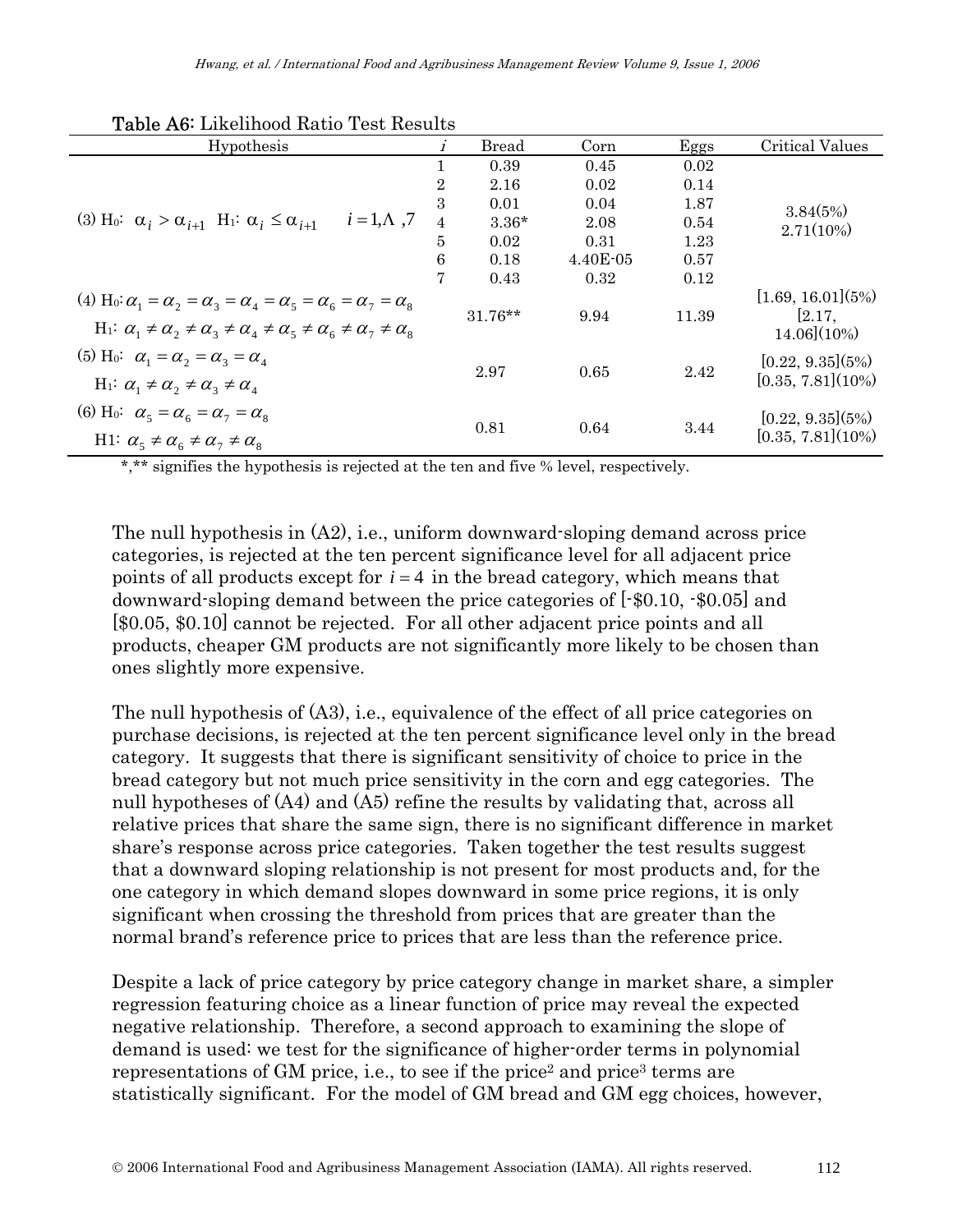| Hypothesis                                                                                                                                                                                                                           | i              | <b>Bread</b> | Corn     | Eggs  | Critical Values                                   |
|--------------------------------------------------------------------------------------------------------------------------------------------------------------------------------------------------------------------------------------|----------------|--------------|----------|-------|---------------------------------------------------|
|                                                                                                                                                                                                                                      |                | 0.39         | 0.45     | 0.02  |                                                   |
|                                                                                                                                                                                                                                      | $\overline{2}$ | 2.16         | 0.02     | 0.14  |                                                   |
|                                                                                                                                                                                                                                      | 3              | 0.01         | 0.04     | 1.87  | 3.84(5%)<br>2.71(10%)                             |
| $i=1,\Lambda$ ,7<br>(3) H <sub>0</sub> : $\alpha_i > \alpha_{i+1}$ H <sub>1</sub> : $\alpha_i \leq \alpha_{i+1}$                                                                                                                     | $\overline{4}$ | $3.36*$      | 2.08     | 0.54  |                                                   |
|                                                                                                                                                                                                                                      | $\overline{5}$ | 0.02         | 0.31     | 1.23  |                                                   |
|                                                                                                                                                                                                                                      | 6              | 0.18         | 4.40E-05 | 0.57  |                                                   |
|                                                                                                                                                                                                                                      | 7              | 0.43         | 0.32     | 0.12  |                                                   |
| (4) H <sub>0</sub> : $\alpha_1 = \alpha_2 = \alpha_3 = \alpha_4 = \alpha_5 = \alpha_6 = \alpha_7 = \alpha_8$<br>$H_1$ : $\alpha_1 \neq \alpha_2 \neq \alpha_3 \neq \alpha_4 \neq \alpha_5 \neq \alpha_6 \neq \alpha_7 \neq \alpha_8$ |                | $31.76**$    | 9.94     | 11.39 | [1.69, 16.01](5%)<br>[2.17,<br>$14.06$ ] $(10\%)$ |
| (5) H <sub>0</sub> : $\alpha_1 = \alpha_2 = \alpha_3 = \alpha_4$<br>$H_1$ : $\alpha_1 \neq \alpha_2 \neq \alpha_3 \neq \alpha_4$                                                                                                     |                | 2.97         | 0.65     | 2.42  | [0.22, 9.35](5%)<br>$[0.35, 7.81](10\%)$          |
| (6) H <sub>0</sub> : $\alpha_5 = \alpha_6 = \alpha_7 = \alpha_8$<br>H1: $\alpha_{5} \neq \alpha_{6} \neq \alpha_{7} \neq \alpha_{8}$                                                                                                 |                | 0.81         | 0.64     | 3.44  | [0.22, 9.35](5%)<br>[0.35, 7.81](10%)             |

#### Table A6: Likelihood Ratio Test Results

\*,\*\* signifies the hypothesis is rejected at the ten and five % level, respectively.

The null hypothesis in  $(A2)$ , i.e., uniform downward-sloping demand across price categories, is rejected at the ten percent significance level for all adjacent price points of all products except for *i* = 4 in the bread category, which means that downward-sloping demand between the price categories of [-\$0.10, -\$0.05] and [\$0.05, \$0.10] cannot be rejected. For all other adjacent price points and all products, cheaper GM products are not significantly more likely to be chosen than ones slightly more expensive.

The null hypothesis of (A3), i.e., equivalence of the effect of all price categories on purchase decisions, is rejected at the ten percent significance level only in the bread category. It suggests that there is significant sensitivity of choice to price in the bread category but not much price sensitivity in the corn and egg categories. The null hypotheses of  $(A4)$  and  $(A5)$  refine the results by validating that, across all relative prices that share the same sign, there is no significant difference in market share's response across price categories. Taken together the test results suggest that a downward sloping relationship is not present for most products and, for the one category in which demand slopes downward in some price regions, it is only significant when crossing the threshold from prices that are greater than the normal brand's reference price to prices that are less than the reference price.

Despite a lack of price category by price category change in market share, a simpler regression featuring choice as a linear function of price may reveal the expected negative relationship. Therefore, a second approach to examining the slope of demand is used: we test for the significance of higher-order terms in polynomial representations of GM price, i.e., to see if the price<sup>2</sup> and price<sup>3</sup> terms are statistically significant. For the model of GM bread and GM egg choices, however,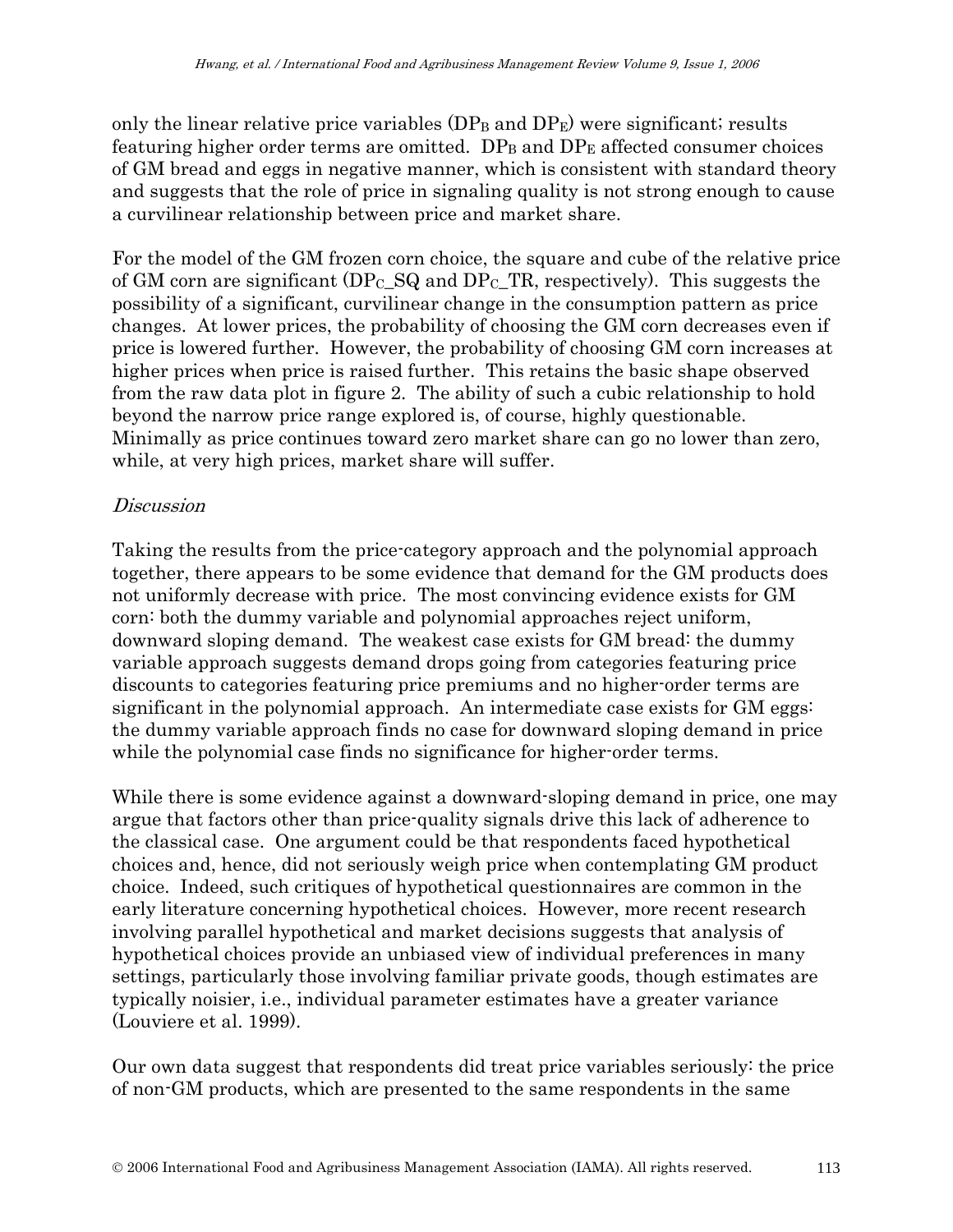only the linear relative price variables  $(DP_B$  and  $DP_E)$  were significant; results featuring higher order terms are omitted.  $DP_B$  and  $DP_E$  affected consumer choices of GM bread and eggs in negative manner, which is consistent with standard theory and suggests that the role of price in signaling quality is not strong enough to cause a curvilinear relationship between price and market share.

For the model of the GM frozen corn choice, the square and cube of the relative price of GM corn are significant  $(DP_C_SQ$  and  $DP_CTR$ , respectively). This suggests the possibility of a significant, curvilinear change in the consumption pattern as price changes. At lower prices, the probability of choosing the GM corn decreases even if price is lowered further. However, the probability of choosing GM corn increases at higher prices when price is raised further. This retains the basic shape observed from the raw data plot in figure 2. The ability of such a cubic relationship to hold beyond the narrow price range explored is, of course, highly questionable. Minimally as price continues toward zero market share can go no lower than zero, while, at very high prices, market share will suffer.

#### **Discussion**

Taking the results from the price-category approach and the polynomial approach together, there appears to be some evidence that demand for the GM products does not uniformly decrease with price. The most convincing evidence exists for GM corn: both the dummy variable and polynomial approaches reject uniform, downward sloping demand. The weakest case exists for GM bread: the dummy variable approach suggests demand drops going from categories featuring price discounts to categories featuring price premiums and no higher-order terms are significant in the polynomial approach. An intermediate case exists for GM eggs: the dummy variable approach finds no case for downward sloping demand in price while the polynomial case finds no significance for higher-order terms.

While there is some evidence against a downward-sloping demand in price, one may argue that factors other than price-quality signals drive this lack of adherence to the classical case. One argument could be that respondents faced hypothetical choices and, hence, did not seriously weigh price when contemplating GM product choice. Indeed, such critiques of hypothetical questionnaires are common in the early literature concerning hypothetical choices. However, more recent research involving parallel hypothetical and market decisions suggests that analysis of hypothetical choices provide an unbiased view of individual preferences in many settings, particularly those involving familiar private goods, though estimates are typically noisier, i.e., individual parameter estimates have a greater variance (Louviere et al. 1999).

Our own data suggest that respondents did treat price variables seriously: the price of non-GM products, which are presented to the same respondents in the same